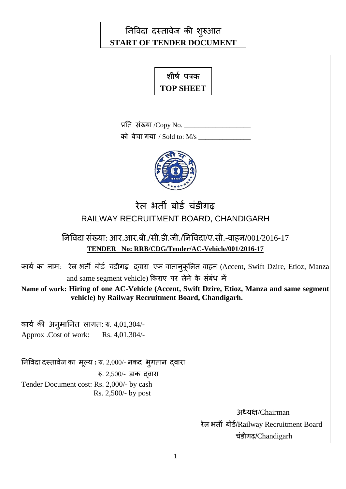# निविदा दस्तावेज की शुरुआत **START OF TENDER DOCUMENT**

# शीर्ष पत्रक **TOP SHEET**

प्रति संख्या /Copy No.

को बेचा गया / Sold to: M/s



# रेल भर्ती बोर्ड चंडीगढ RAILWAY RECRUITMENT BOARD, CHANDIGARH

# त्निविदा संख्या: आर.आर.बी./सी.डी.जी./निविदा/ए.सी.-वाहन/001/2016-17 **TENDER No: RRB/CDG/Tender/AC-Vehicle/001/2016-17**

कार्य का नाम: रेल भर्ती बोर्ड चंडीगढ़ द्वारा एक वातानुकूलित वाहन (Accent, Swift Dzire, Etioz, Manza and same segment vehicle) किराए पर लेने के संबंध में

**Name of work: Hiring of one AC-Vehicle (Accent, Swift Dzire, Etioz, Manza and same segment vehicle) by Railway Recruitment Board, Chandigarh.**

कार्य की अनुमानित लागत: रु. 4,01,304/-Approx .Cost of work: Rs. 4,01,304/-

तनविदा दस्तािेज का भूल्म **:** रु. 2,000/- नकद बुगतान द्िाया रु.  $2,500/$ - डाक दवारा Tender Document cost: Rs. 2,000/- by cash Rs. 2,500/- by post

> अध्मऺ/Chairman रेल भर्ती बोर्ड/Railway Recruitment Board चॊडीगढ़/Chandigarh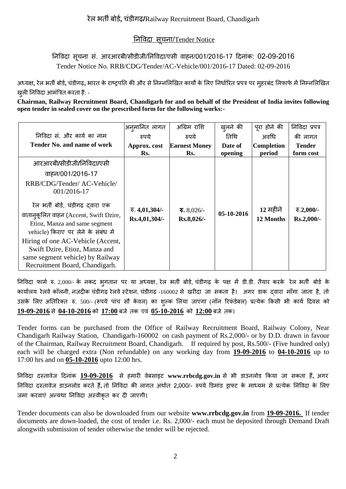## तनविदा सूचना/Tender Notice

# त्निविदा सूचना सं. आरआरबी/सीडीजी/निविदा/एसी वाहन/001/2016-17 दिनांक: 02-09-2016 Tender Notice No. RRB/CDG/Tender/AC-Vehicle/001/2016-17 Dated: 02-09-2016

अध्यक्ष, रेल भर्ती बोर्ड, चंडीगढ़, भारत के राष्ट्रपति की और से निम्नलिखित कार्यों के लिए निर्धारित प्रपत्र पर म्**हरबंद लिफाफे में निम्नलिखित** खुली निविदा आमंत्रित करता है: -

**Chairman, Railway Recruitment Board, Chandigarh for and on behalf of the President of India invites following open tender in sealed cover on the prescribed form for the following works:-**

|                                                                                                                                                                                                                                                                                                                                                                                               | अनुमानित लागत                                          | अग्रिम राशि                                     | खुलने की           | पूरा होने की                | निविदा प्रपत्र                    |
|-----------------------------------------------------------------------------------------------------------------------------------------------------------------------------------------------------------------------------------------------------------------------------------------------------------------------------------------------------------------------------------------------|--------------------------------------------------------|-------------------------------------------------|--------------------|-----------------------------|-----------------------------------|
| निविदा सं. और कार्य का नाम                                                                                                                                                                                                                                                                                                                                                                    | रुपये                                                  | रुपये                                           | तिथि               | अवधि                        | की लागत                           |
| <b>Tender No. and name of work</b>                                                                                                                                                                                                                                                                                                                                                            | Approx. cost<br>Rs.                                    | <b>Earnest Money</b><br>Rs.                     | Date of<br>opening | <b>Completion</b><br>period | <b>Tender</b><br>form cost        |
| आरआरबी/सीडीजी/निविदा/एसी<br>वाहन/001/2016-17<br>RRB/CDG/Tender/ AC-Vehicle/<br>001/2016-17<br>रेल भर्ती बोर्ड, चंडीगढ़ दवारा एक<br>वातानुकूलित वाहन (Accent, Swift Dzire,<br>Etioz, Manza and same segment<br>vehicle) किराए पर लेने के संबंध में<br>Hiring of one AC-Vehicle (Accent,<br>Swift Dzire, Etioz, Manza and<br>same segment vehicle) by Railway<br>Recruitment Board, Chandigarh. | $\overline{\mathcal{F}}$ . 4,01,304/-<br>Rs.4,01,304/- | $\overline{\mathbf{v}}$ . 8,026/-<br>Rs.8,026/- | 05-10-2016         | 12 महीने<br>12 Months       | $\sqrt{6}$ .2,000/-<br>Rs.2,000/- |

निविदा फार्म रु. 2,000/- के नकद भुगतान पर या अध्यक्ष, रेल भर्ती बोर्ड, चंडीगढ़ के पक्ष में डी.डी. तैयार करके रेल भर्ती बोर्ड के कार्यालय रेलवे कॉलनी, नज़दीक चंडीगढ़ रेलवे स्टेशन, चंडीगढ़ -160002 से खरीदा जा सकता है। अगर डाक दवारा माँगा जाता है, तो उसके लिए अतिरिक्त रु. 500/- (रूपये पांच सौ केवल) का शुल्क लिया जाएगा (नॉन रिफंडेबल) प्रत्येक किसी भी कार्य दिवस को 19-09-2016 से 04-10-2016 को 17:00 बजे तक एवं 05-10-2016 को 12:00 बजे तक।

Tender forms can be purchased from the Office of Railway Recruitment Board, Railway Colony, Near Chandigarh Railway Station, Chandigarh-160002 on cash payment of Rs.2,000/- or by D.D. drawn in favour of the Chairman, Railway Recruitment Board, Chandigarh.If required by post, Rs.500/- (Five hundred only) each will be charged extra (Non refundable) on any working day from **19-09-2016** to **04-10-2016** up to 17:00 hrs and on **05-10-2016** upto 12:00 hrs.

तनविदा दस्तािेज ददनाॊक **19-09-2016** से हभायी िेफसाइट **www.rrbcdg.gov.in** से बी डाउनरोड ककमा जा सकता हैं**,** अगय तनविदा दस्तािेज डाउनरोड कयते हैं**,** तो तनविदा की रागत अथाडत 2**,**000/- रुऩमे डडभाॊड ड्राफ्ट के भाध्मभ से प्रत्मेक तनविदा के लरए जमा करवाएं अन्यथा निविदा अस्वीकृत कर दी जाएगी।

Tender documents can also be downloaded from our website **[www.rrbcdg.g](http://www.rrbcdg./)ov.in** from **19-09-2016.** If tender documents are down-loaded, the cost of tender i.e. Rs. 2,000/- each must be deposited through Demand Draft alongwith submission of tender otherwise the tender will be rejected.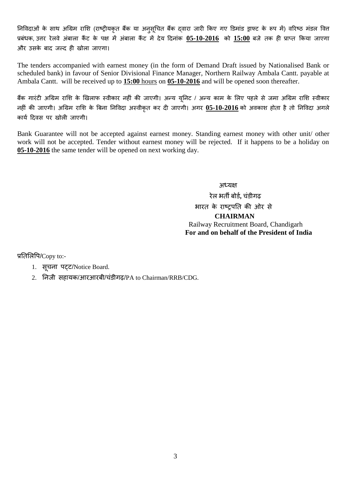निविदाओं के साथ अग्रिम राशि (राष्ट्रीयकृत बैंक या अनुसूचित बैंक दवारा जारी किए गए डिमांड ड्राफ्ट के रूप में) वरिष्ठ मंडल वित्त प्रबंधक, उत्तर रेलवे अंबाला कैंट के पक्ष में अंबाला कैंट में देय दिनांक 05-10-2016 को 15:00 बजे तक ही प्राप्त किया जाएगा और उसके बाद जल्द ही खोला जाएगा।

The tenders accompanied with earnest money (in the form of Demand Draft issued by Nationalised Bank or scheduled bank) in favour of Senior Divisional Finance Manager, Northern Railway Ambala Cantt. payable at Ambala Cantt. will be received up to **15:00** hours on **05-10-2016** and will be opened soon thereafter.

बैंक गारंटी अग्रिम राशि के खिलाफ स्वीकार नहीं की जाएगी। अन्य यूनिट / अन्य काम के लिए पहले से जमा अग्रिम राशि स्वीकार नहीं की जाएगी। अग्रिम राशि के बिना निविदा अस्वीकृत कर दी जाएगी। अगर <mark>05-10-2016</mark> को अवकाश होता है तो निविदा अगले कार्य दिवस पर खोली जाएगी।

Bank Guarantee will not be accepted against earnest money. Standing earnest money with other unit/ other work will not be accepted. Tender without earnest money will be rejected. If it happens to be a holiday on **05-10-2016** the same tender will be opened on next working day.

> अध्यक्ष येर बती फोडड**,** चॊडीगढ़ भारत के राष्ट्रपति की ओर से  **CHAIRMAN** Railway Recruitment Board, Chandigarh **For and on behalf of the President of India**

प्रतिलिपि/Copy to:-

- 1. सूचना पट्ट/Notice Board.
- 2. तनजी सहामक/आयआयफी/चॊडीगढ़/PA to Chairman/RRB/CDG.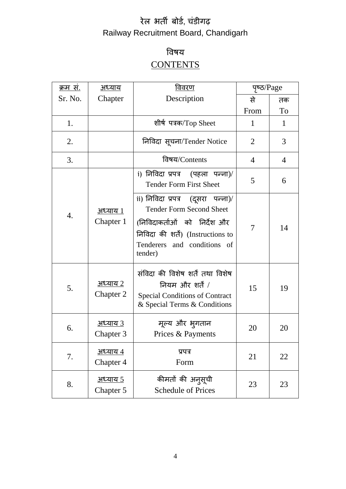# रेल भर्ती बोर्ड, चंडीगढ़ Railway Recruitment Board, Chandigarh

# विर्म **CONTENTS**

| क्रम स.          | <u>अध्याय</u>                | <u>विवरण</u>                                                                                                                                                                           | पृष्ठ/Page     |                |
|------------------|------------------------------|----------------------------------------------------------------------------------------------------------------------------------------------------------------------------------------|----------------|----------------|
| Sr. No.          | Chapter                      | Description                                                                                                                                                                            | से             | तक             |
|                  |                              |                                                                                                                                                                                        | From           | To             |
| 1.               |                              | शीर्ष पत्रक/Top Sheet                                                                                                                                                                  | 1              | 1              |
| 2.               |                              | निविदा सूचना/Tender Notice                                                                                                                                                             | 2              | 3              |
| 3.               |                              | विषय/Contents                                                                                                                                                                          | $\overline{4}$ | $\overline{4}$ |
|                  |                              | i) निविदा प्रपत्र  (पहला पन्ना)/<br><b>Tender Form First Sheet</b>                                                                                                                     | 5              | 6              |
| $\overline{4}$ . | अध्याय 1<br>Chapter 1        | ii) निविदा प्रपत्र  (दूसरा  पन्ना)/<br><b>Tender Form Second Sheet</b><br>(निविदाकर्ताओं को निर्देश और<br>निविदा की शर्तें) (Instructions to<br>Tenderers and conditions of<br>tender) | 7              | 14             |
| 5.               | <u>अध्याय 2</u><br>Chapter 2 | संविदा की विशेष शर्तें तथा विशेष<br>नियम और शर्तें /<br><b>Special Conditions of Contract</b><br>& Special Terms & Conditions                                                          | 15             | 19             |
| 6.               | <u>अध्याय 3</u><br>Chapter 3 | मूल्य और भ् <b>गतान</b><br>Prices & Payments                                                                                                                                           | 20             | 20             |
| 7.               | <u>अध्याय ४</u><br>Chapter 4 | प्रपत्र<br>Form                                                                                                                                                                        | 21             | 22             |
| 8.               | <u>अध्याय 5</u><br>Chapter 5 | कीमतों की अन् <b>सूची</b><br><b>Schedule of Prices</b>                                                                                                                                 | 23             | 23             |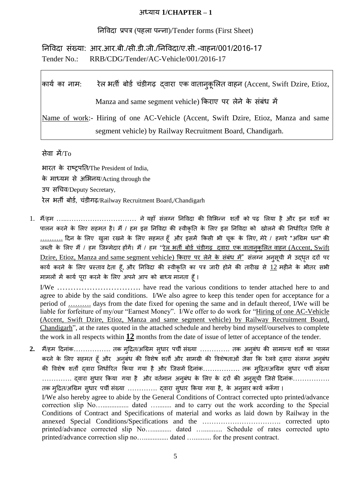#### अध्माम **1/CHAPTER – 1**

तनविदा प्रऩत्र (ऩहरा ऩन्ना)/Tender forms (First Sheet)

त्निविदा संख्या: आर.आर.बी./सी.डी.जी./निविदा/ए.सी.-वाहन/001/2016-17 Tender No.: RRB/CDG/Tender/AC-Vehicle/001/2016-17

|                                                                                     | कार्य का नाम:      रेल भर्ती बोर्ड चंडीगढ़  दवारा एक वातान्कूलित वाहन (Accent, Swift Dzire, Etioz, |  |  |  |
|-------------------------------------------------------------------------------------|----------------------------------------------------------------------------------------------------|--|--|--|
|                                                                                     | Manza and same segment vehicle) किराए पर लेने के संबंध में                                         |  |  |  |
| Name of work:- Hiring of one AC-Vehicle (Accent, Swift Dzire, Etioz, Manza and same |                                                                                                    |  |  |  |
|                                                                                     | segment vehicle) by Railway Recruitment Board, Chandigarh.                                         |  |  |  |

सेवा में $/T_0$ 

बायत के याष्ट्रऩतत**/**The President of India, के भाध्मभ से अलबनम/Acting through the उप सचिव/Deputy Secretary, रेल भर्ती बोर्ड, चंडीगढ़/Railway Recruitment Board,/Chandigarh

1. मैं/हम ………………………………… ने यहाँ संलग्न निविदा की विभिन्न शर्तों को पढ़ लिया है और इन शर्तों का पालन करने के लिए सहमत है। मैं / हम इस निविदा की स्वीकृति के लिए इस निविदा को खोलने की निर्धारित तिथि से ………. ददन के लरए िुरा यिने के लरए सहभत हूॉ औय इसभें ककसी बी चूक के लरए, भेये / हभाये "अग्रिभ धन" की जब्ती के लिए मैं / हम जिम्मेदार होंगें। मैं / हम "रे<u>ल भर्ती बोर्ड चंडीगढ़ द्वारा एक वातानुकूलित वाहन (Accent, Swift</u> Dzire, Etioz, Manza and same segment vehicle) किराए पर लेने के संबंध में" संलग्न अनुसूची में उद्धृत दरों पर कार्य करने के लिए प्रस्ताव देता हूँ, और निविदा की स्वीकृति का पत्र जारी होने की तारीख से 12 महीने के भीतर सभी मामलों में कार्य पूरा करने के लिए अपने आप को बाध्य मानता हूँ।

I/We …………………………. have read the various conditions to tender attached here to and agree to abide by the said conditions. I/We also agree to keep this tender open for acceptance for a period of ………. days from the date fixed for opening the same and in default thereof, I/We will be liable for forfeiture of my/our "Earnest Money". I/We offer to do work for "Hiring of one AC-Vehicle (Accent, Swift Dzire, Etioz, Manza and same segment vehicle) by Railway Recruitment Board, Chandigarh", at the rates quoted in the attached schedule and hereby bind myself/ourselves to complete the work in all respects within **12** months from the date of issue of letter of acceptance of the tender.

2. मैं/हम दिनांक…………….. तक मुद्रित/अग्रिम सुधार पर्ची संख्या …………. तक अनुबंध की सामान्य शर्तों का पालन करने के लिए सहमत हूँ और अनुबंध की विशेष शर्तों और सामग्री की विशेषताओं जैसा कि रेलवे द्वारा संलग्न अनुबंध की विशेष शर्तों द्वारा निर्धारित किया गया है और जिसमें दिनांक……………. तक म्5्रित/अग्रिम सुधार पर्ची संख्या ………….. द्वारा सुधार किया गया है और वर्तमान अनुबंध के लिए के दरों की अनुसूची जिसे दिनांक……………. तक मुद्रित/अग्रिम सुधार पर्ची संख्या ………….. द्वारा सुधार किया गया है, के अनुसार कार्य करूँगा । I/We also hereby agree to abide by the General Conditions of Contract corrected upto printed/advance correction slip No…............... dated …........ and to carry out the work according to the Special Conditions of Contract and Specifications of material and works as laid down by Railway in the annexed Special Conditions/Specifications and the ……………………………. corrected upto printed/advance corrected slip No…........... dated …........... Schedule of rates corrected upto printed/advance correction slip no….............. dated ….......... for the present contract.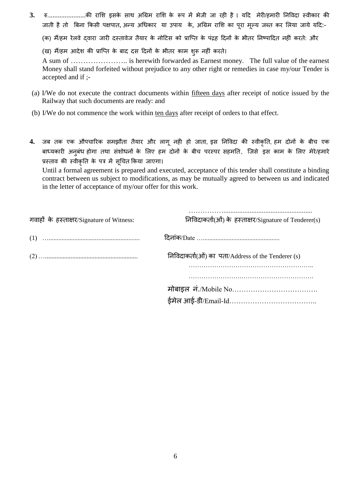**3.** रु.......................की राशि इसके साथ अग्रिम राशि के रूप में भेजी जा रही है। यदि मेरी/हमारी निविदा स्वीकार की जाती है तो बिना किसी पक्षपात, अन्य अधिकार या उपाय के, अग्रिम राशि का पूरा मूल्य जब्त कर लिया जाये यदि:-

(क) मैं/हम रेलवे द्वारा जारी दस्तावेज तैयार के नोटिस को प्राप्ति के पंद्रह दिनों के भीतर निष्पादित नहीं करते: और

(ख) मैं/हम आदेश की प्राप्ति के बाद दस दिनों के भीतर काम शुरू नहीं करते।

A sum of ………………….. is herewith forwarded as Earnest money. The full value of the earnest Money shall stand forfeited without prejudice to any other right or remedies in case my/our Tender is accepted and if ;-

- (a) I/We do not execute the contract documents within fifteen days after receipt of notice issued by the Railway that such documents are ready: and
- (b) I/We do not commence the work within ten days after receipt of orders to that effect.
- **4.** जब तक एक औपचारिक समझौता तैयार और लागू नही हो जाता, इस निविदा की स्वीकृति, हम दोनों के बीच एक बाध्यकारी अनुबंध होगा तथा संशोधनों के लिए हम दोनों के बीच परस्पर सहमति, जिसे इस काम के लिए मेरे/हमारे प्रस्ताव की स्वीकृति के पत्र में सूचित किया जाएगा।

Until a formal agreement is prepared and executed, acceptance of this tender shall constitute a binding contract between us subject to modifications, as may be mutually agreed to between us and indicated in the letter of acceptance of my/our offer for this work.

| गवाहों के हस्ताक्षर/Signature of Witness: | निविदाकर्ता(ओं) के हस्ताक्षर/Signature of Tenderer(s) |
|-------------------------------------------|-------------------------------------------------------|
|                                           |                                                       |
|                                           | निविदाकर्ता(ओं) का पता/Address of the Tenderer (s)    |
|                                           |                                                       |
|                                           |                                                       |
|                                           |                                                       |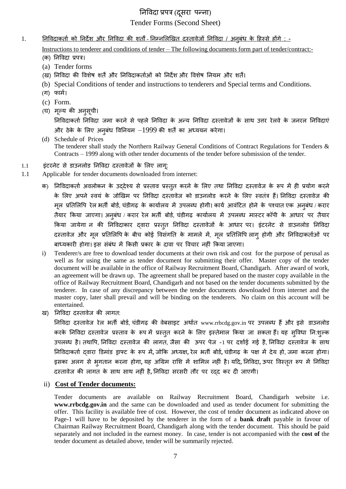## त्निविदा प्रपत्र (दुसरा) पन्ना) Tender Forms (Second Sheet)

1. <u>निविदाकर्ता को निर्देश और निविदा की शर्तों - निम्नलिखित दस्तावेजों निविदा / अनबंध के हिस्से होंगे : -</u>

Instructions to tenderer and conditions of tender – The following documents form part of tender/contract:- (क) निविदा प्रपत्र।

- (a) Tender forms
- (ख) निविदा की विशेष शर्तें और निविदाकर्ताओं को निर्देश और विशेष नियम और शर्तें।
- (b) Special Conditions of tender and instructions to tenderers and Special terms and Conditions.
- (ग) फार्म।
- (c) Form.
- (घ) भूल्म की अनुसूची।

निविदाकर्ता निविदा जमा करने से पहले निविदा के अन्य निविदा दस्तावेजों के साथ उत्तर रेलवे के जनरल निविदाएं और ठेके के लिए अनुबंध विनियम  $-1999$  की शर्तें का अध्ययन करेगा।

- (d) Schedule of Prices The tenderer shall study the Northern Railway General Conditions of Contract Regulations for Tenders & Contracts – 1999 along with other tender documents of the tender before submission of the tender.
- 1.1 इंटरनेट से डाउनलोड निविदा दस्तावेजों के लिए लाग:
- 1.1 Applicable for tender documents downloaded from internet:
	- क) निविदाकर्ता अवलोकन के उद्देश्य से प्रस्ताव प्रस्तुत करने के लिए तथा निविदा दस्तावेज के रूप में ही प्रयोग करने के लिए अपने स्वयं के जोखिम पर निविदा दस्तावेज को डाउनलोड करने के लिए स्वतंत्र हैं। निविदा दस्तावेज की मूल प्रतिलिपि रेल भर्ती बोर्ड, चंडीगढ़ के कार्यालय में उपलब्ध होगी। कार्य आवंटित होने के पश्चात एक अनुबंध / करार तैयार किया जाएगा। अनुबंध / करार रेल भर्ती बोर्ड, चंडीगढ़ कार्यालय में उपलब्ध मास्टर कॉपी के आधार पर तैयार किया जायेगा न की निविदाकार दवारा प्रस्तुत निविदा दस्तावेजों के आधार पर। इंटरनेट से डाउनलोड निविदा दस्तावेज और मूल प्रतिलिपि के बीच कोई विसंगति के मामले में, मूल प्रतिलिपि लागू होगी और निविदाकर्ताओं पर बाध्यकारी होगा। इस संबंध में किसी प्रकार के दावा पर विचार नहीं किया जाएगा।
	- i) Tenderer/s are free to download tender documents at their own risk and cost for the purpose of perusal as well as for using the same as tender document for submitting their offer. Master copy of the tender document will be available in the office of Railway Recruitment Board, Chandigarh. After award of work, an agreement will be drawn up. The agreement shall be prepared based on the master copy available in the office of Railway Recruitment Board, Chandigarh and not based on the tender documents submitted by the tenderer. In case of any discrepancy between the tender documents downloaded from internet and the master copy, later shall prevail and will be binding on the tenderers. No claim on this account will be entertained.
	- ि) तनविदा दस्तािेज की रागत:

लिविदा दस्तावेज रेल भर्ती बोर्ड, चंडीगढ़ की वेबसाइट अर्थात www.rrbcdg.gov.in पर उपलब्ध हैं और इसे डाउनलोड करके निविदा दस्तावेज प्रस्ताव के रूप में प्रस्तुत करने के लिए इस्तेमाल किया जा सकता हैं। यह सुविधा नि:शुल्क उपलब्ध है। तथापि, निविदा दस्तावेज की लागत, जैसा की ऊपर पेज -1 पर दर्शाई गई है, निविदा दस्तावेज के साथ तनविदाकताड द्िाया डडभाॊड ड्राफ्ट के रूऩ भें**,** जोकक अध्मऺ**,** येर बती फोडड**,** चॊडीगढ़ के ऩऺ भें देम हो, जभा कयना होगा। इसका अरग से बुगतान कयना होगा**,** मह अग्रिभ यालश भें शालभर नहीॊ है। मदद**,** तनविदा**,** ऊऩय विस्ततृ रूऩ भें तनविदा दस्तािेज की रागत के साथ साथ नहीॊ है**,** तनविदा सयसयी तौय ऩय यद्द कय दी जाएगी।

ii) **Cost of Tender documents:**

Tender documents are available on Railway Recruitment Board, Chandigarh website i.e. **[www.rrbcdg.g](http://www.rrbcdg./)ov.in** and the same can be downloaded and used as tender document for submitting the offer. This facility is available free of cost. However, the cost of tender document as indicated above on Page-1 will have to be deposited by the tenderer in the form of a **bank draft** payable in favour of Chairman Railway Recruitment Board, Chandigarh along with the tender document. This should be paid separately and not included in the earnest money. In case, tender is not accompanied with the **cost of** the tender document as detailed above, tender will be summarily rejected.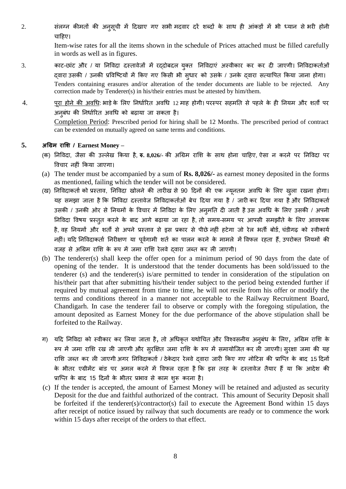2. संलग्न कीमतों की अनुसूची में दिखाए गए सभी मदवार दरें शब्दों के साथ ही आंकड़ों में भी ध्यान से भरी होनी चाहिए।

> Item-wise rates for all the items shown in the schedule of Prices attached must be filled carefully in words as well as in figures.

- 3. काट-छांट और / या निविदा दस्तावेजों में रद्दोबदल युक्त निविदाएं अस्वीकार कर कर दी जाएगी। निविदाकर्ताओं दवारा उसकी / उनकी प्रविष्टियों में किए गए किसी भी सुधार को उसके / उनके दवारा सत्यापित किया जाना होगा। Tenders containing erasures and/or alteration of the tender documents are liable to be rejected. Any correction made by Tenderer(s) in his/their entries must be attested by him/them.
- 4. <u>पूरा होने की अवधि</u>: भाड़े के लिए निर्धारित अवधि 12 माह होगी। परस्पर सहमति से पहले के ही नियम और शर्तों पर अनुबंध की निर्धारित अवधि को बढ़ाया जा सकता है। Completion Period: Prescribed period for hiring shall be 12 Months. The prescribed period of contract can be extended on mutually agreed on same terms and conditions.

#### **5. अग्रिभ याशि / Earnest Money –**

- (क) निविदा, जैसा की उल्लेख किया है, **रु. 8,026/-** की अग्रिम राशि के साथ होना चाहिए, ऐसा न करने पर निविदा पर विचार नहीं किया जाएगा।
- (a) The tender must be accompanied by a sum of **Rs. 8,026/-** as earnest money deposited in the forms as mentioned, failing which the tender will not be considered.
- (ख) निविदाकर्ता को प्रस्ताव, निविदा खोलने की तारीख से 90 दिनों की एक न्यूनतम अवधि के लिए ख़्ला रखना होगा। यह समझा जाता है कि निविदा दस्तावेज निविदाकर्ताओं बेच दिया गया है / जारी कर दिया गया है और निविदाकर्ता उसकी / उनकी ओर से नियमों के विचार में निविदा के लिए अनुमति दी जाती है उस अवधि के लिए उसकी / अपनी निविदा विषय प्रस्तुत करने के बाद आगे बढ़ाया जा रहा है, तो समय-समय पर आपसी समझौते के लिए आवश्यक है, वह नियमों और शर्तों से अपने प्रस्ताव से इस प्रकार से पीछे नहीं हटेगा जो रेल भर्ती बोर्ड, चंडीगढ़ को स्वीकार्य नहीं। यदि निविदाकर्ता निरीक्षण या पर्वगामी शर्त का पालन करने के मामले में विफल रहता हैं, उपरोक्त नियमों की वजह से अग्रिम राशि के रूप में जमा राशि रेलवे दवारा जब्त कर ली जाएगी।
- (b) The tenderer(s) shall keep the offer open for a minimum period of 90 days from the date of opening of the tender. It is understood that the tender documents has been sold/issued to the tenderer (s) and the tenderer(s) is/are permitted to tender in consideration of the stipulation on his/their part that after submitting his/their tender subject to the period being extended further if required by mutual agreement from time to time, he will not resile from his offer or modify the terms and conditions thereof in a manner not acceptable to the Railway Recruitment Board, Chandigarh. In case the tenderer fail to observe or comply with the foregoing stipulation, the amount deposited as Earnest Money for the due performance of the above stipulation shall be forfeited to the Railway.
- ग) यदि निविदा को स्वीकार कर लिया जाता है, तो अधिकृत यथोचित और विश्वसनीय अनुबंध के लिए, अग्रिम राशि के रूप में जमा राशि रख ली जाएगी और सुरक्षित जमा राशि के रूप में समायोजित कर ली जाएगी। सुरक्षा जमा की यह राशि जब्त कर ली जाएगी अगर निविदाकर्ता / ठेकेदार रेलवे दवारा जारी किए गए नोटिस की प्राप्ति के बाद 15 दिनों के भीतर एग्रीमेंट बांड पर अमल करने में विफल रहता है कि इस तरह के दस्तावेज तैयार हैं या कि आदेश की प्राप्ति के बाद 15 दिनों के भीतर प्रभाव से काम शुरू करना है।
- (c) If the tender is accepted, the amount of Earnest Money will be retained and adjusted as security Deposit for the due and faithful authorized of the contract. This amount of Security Deposit shall be forfeited if the tenderer(s)/contractor(s) fail to execute the Agreement Bond within 15 days after receipt of notice issued by railway that such documents are ready or to commence the work within 15 days after receipt of the orders to that effect.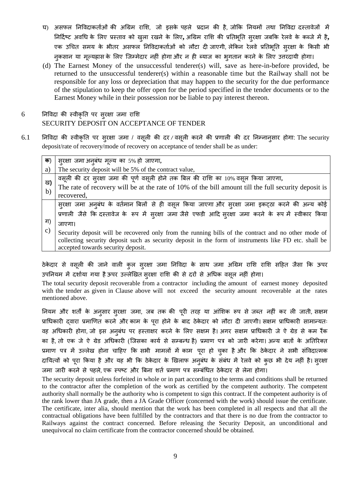- घ) असफल निविदाकर्ताओं की अग्रिम राशि, जो इसके पहले प्रदान की है, जोकि नियमों तथा निविदा दस्तावेजों में तनददडष्ट्ट अिग्रध के लरए प्रस्ताि को िुरा यिने के लरए**,** अग्रिभ यालश की प्रततबूतत सुयऺा जफकक येरिे के कब्जे भें है**,** एक उचित समय के भीतर असफल निविदाकर्ताओं को लौटा दी जाएगी, लेकिन रेलवे प्रतिभूति सुरक्षा के किसी भी नकसान या मुल्यह्रास के लिए जिम्मेदार नहीं होगा और न ही ब्याज का भृगतान करने के लिए उत्तरदायी होगा।
- (d) The Earnest Money of the unsuccessful tenderer(s) will, save as here-in-before provided, be returned to the unsuccessful tenderer(s) within a reasonable time but the Railway shall not be responsible for any loss or depreciation that may happen to the security for the due performance of the stipulation to keep the offer open for the period specified in the tender documents or to the Earnest Money while in their possession nor be liable to pay interest thereon.

## $6$  निविदा की स्वीकृति पर सुरक्षा जमा राशि SECURITY DEPOSIT ON ACCEPTANCE OF TENDER

6.1 तनविदा की स्िीकृतत ऩय सुयऺा जभा / िसूरी की दय */* िसूरी कयने की प्रणारी की दय तनम्नानुसाय होगा: The security deposit/rate of recovery/mode of recovery on acceptance of tender shall be as under:

| क) | सुरक्षा जमा अनुबंध मूल्य का 5% हो जाएगा,                                                               |
|----|--------------------------------------------------------------------------------------------------------|
| a) | The security deposit will be 5% of the contract value,                                                 |
| ख) | वसूली की दर सुरक्षा जमा की पूर्ण वसूली होने तक बिल की राशि का 10% वसूल किया जाएगा,                     |
| b) | The rate of recovery will be at the rate of 10% of the bill amount till the full security deposit is   |
|    | recovered,                                                                                             |
|    | स्रक्षा जमा अन्बंध के वर्तमान बिलों से ही वसूल किया जाएगा और स्रक्षा जमा इकट्ठा करने की अन्य कोई       |
|    | प्रणाली जैसे कि दस्तावेज के रूप में सुरक्षा जमा जैसे एफडी आदि सुरक्षा जमा करने के रूप में स्वीकार किया |
| ग) | जाएगा।                                                                                                 |
| C) | Security deposit will be recovered only from the running bills of the contract and no other mode of    |
|    | collecting security deposit such as security deposit in the form of instruments like FD etc. shall be  |
|    | accepted towards security deposit.                                                                     |

ठेकेदार से वसूली की जाने वाली कुल सुरक्षा जमा निविदा के साथ जमा अग्रिम राशि राशि सहित जैसा कि ऊपर उपनियम में दर्शाया गया है ऊपर उल्लेखित सुरक्षा राशि की से दरों से अधिक वसूल नहीं होगा।

The total security deposit recoverable from a contractor including the amount of earnest money deposited with the tender as given in Clause above will not exceed the security amount recoverable at the rates mentioned above.

नियम और शर्तों के अनुसार सुरक्षा जमा, जब तक की पूरी तरह या आंशिक रूप से जब्त नहीं कर ली जाती, सक्षम प्राधिकारी दवारा प्रमाणित करने और काम के पूरा होने के बाद ठेकेदार को लौटा दी जाएगी। सक्षम प्राधिकारी सामान्यतः वह अधिकारी होगा, जो इस अनुबंध पर हस्ताक्षर करने के लिए सक्षम है। अगर सक्षम प्राधिकारी जे ऐ ग्रेड से कम रैंक का है, तो एक जे ऐ ग्रेड अधिकारी (जिसका कार्य से सम्बन्ध है) प्रमाण पत्र को जारी करेगा। अन्य बातों के अतिरिक्त प्रमाण पत्र में उल्लेख होना चाहिए कि सभी मामलों में काम पूरा हो चुका है और कि ठेकेदार ने सभी संविदात्मक दायित्वों को पूरा किया है और यह भी कि ठेकेदार के खिलाफ अनुबंध के संबंध में रेलवे को कुछ भी देय नहीं है। सुरक्षा जमा जारी करने से पहले, एक स्पष्ट और बिना शर्त प्रमाण पत्र सम्बंधित ठेकेदार से लेना होगा।

The security deposit unless forfeited in whole or in part according to the terms and conditions shall be returned to the contractor after the completion of the work as certified by the competent authority. The competent authority shall normally be the authority who is competent to sign this contract. If the competent authority is of the rank lower than JA grade, then a JA Grade Officer (concerned with the work) should issue the certificate. The certificate, inter alia, should mention that the work has been completed in all respects and that all the contractual obligations have been fulfilled by the contractors and that there is no due from the contractor to Railways against the contract concerned. Before releasing the Security Deposit, an unconditional and unequivocal no claim certificate from the contractor concerned should be obtained.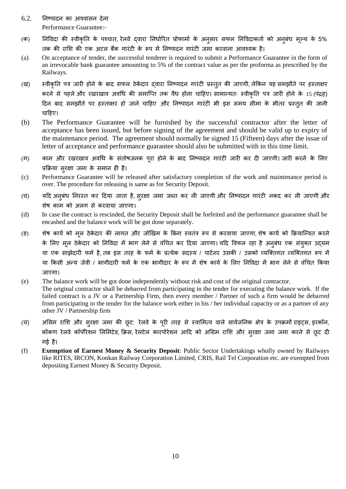- $6.2.$  निष्पादन का आश्वासन देना Performance Guarantee:-
- (क) त्रिविदा की स्वीकृति के पश्चात, रेलवे दवारा निर्धारित प्रोफार्मा के अनुसार सफल निविदाकर्ता को अनुबंध मूल्य के 5% तक की राशि की एक अटल बैंक गारंटी के रूप में निष्पादन गारंटी जमा करवाना आवश्यक है।
- (a) On acceptance of tender, the successful tenderer is required to submit a Performance Guarantee in the form of an irrevocable bank guarantee amounting to 5% of the contract value as per the proforma as prescribed by the Railways.
- (ख) स्वीकृति पत्र जारी होने के बाद सफल ठेकेदार दवारा निष्पादन गारंटी प्रस्तुत की जाएगी, लेकिन यह समझौते पर हस्ताक्षर करने से पहले और रखरखाव अवधि की समाप्ति तक वैध होना चाहिए। सामान्यतः स्वीकृति पत्र जारी होने के 15 (पंद्रह) दिन बाद समझौते पर हस्ताक्षर हो जाने चाहिए और निष्पादन गारंटी भी इस समय सीमा के भीतर प्रस्तुत की जानी चाहिए।
- (b) The Performance Guarantee will be furnished by the successful contractor after the letter of acceptance has been issued, but before signing of the agreement and should be valid up to expiry of the maintenance period. The agreement should normally be signed 15 (Fifteen) days after the issue of letter of acceptance and performance guarantee should also be submitted with in this time limit.
- (ग) काम और रखरखाव अवधि के संतोषजनक पूरा होने के बाद निष्पादन गारंटी जारी कर दी जाएगी। जारी करने के लिए प्रक्रिया सुरक्षा जमा के समान ही है।
- (c) Performance Guarantee will be released after satisfactory completion of the work and maintenance period is over. The procedure for releasing is same as for Security Deposit.
- (घ) यदि अनुबंध निरस्त कर दिया जाता है, सुरक्षा जमा जब्त कर ली जाएगी और निष्पादन गारंटी नकद कर ली जाएगी और शेर् काभ को अरग से कयिामा जाएगा।
- (d) In case the contract is rescinded, the Security Deposit shall be forfeited and the performance guarantee shall be encashed and the balance work will be got done separately.
- (ङ) शेष कार्य को मूल ठेकेदार की लागत और जोखिम के बिना स्वतंत्र रूप से करवाया जाएगा, शेष कार्य को क्रियान्वित करने के लिए मूल ठेकेदार को निविदा में भाग लेने से वंचित कर दिया जाएगा। यदि विफल रहा है अनुबंध एक संयुक्त उद्यम या एक साझेदारी फर्म है, तब इस तरह के फर्म के प्रत्येक सदस्य / पार्टनर उसकी / उसको व्यक्तिगत व्यक्तिगत रूप में या किसी अन्य जेवी / भागीदारी फर्म के एक भागीदार के रूप में शेष कार्य के लिए निविदा में भाग लेने से वंचित किया जाएगा।
- (e) The balance work will be got done independently without risk and cost of the original contractor. The original contractor shall be debarred from participating in the tender for executing the balance work. If the failed contract is a JV or a Partnership Firm, then every member / Partner of such a firm would be debarred from participating in the tender for the balance work either in his / her individual capacity or as a partner of any other JV / Partnership firm
- (च) अग्रिम राशि और सुरक्षा जमा की छूट: रेलवे के पूरी तरह से स्वामित्व वाले सार्वजनिक क्षेत्र के उपक्रमों राइट्स, इरकॉन, कोंकण रेलवे कॉर्पोरेशन लिमिटेड, क्रिस, रेलटेल कारपोरेशन आदि को अग्रिम राशि और सुरक्षा जमा जमा करने से छूट दी गई है।
- (f) **Exemption of Earnest Money & Security Deposit**: Public Sector Undertakings wholly owned by Railways like RITES, IRCON, Konkan Railway Corporation Limited, CRIS, Rail Tel Corporation etc. are exempted from depositing Earnest Money & Security Deposit.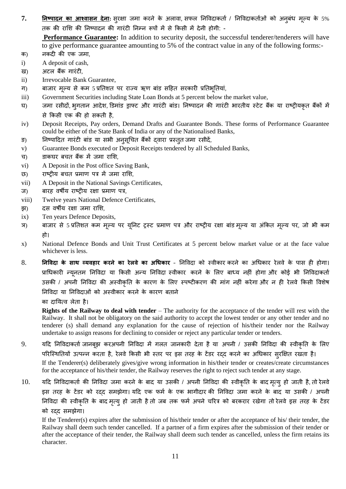7. <mark>निष्पादन का आश्वासन देना</mark>ः सुरक्षा जमा करने के अलावा, सफल निविदाकर्ता / निविदाकर्ताओं को अनुबंध मूल्य के 5% तक की राशि की निष्पादन की गारंटी निम्न रूपों में से किसी में देनी होगी: -

Performance Guarantee: In addition to security deposit, the successful tenderer/tenderers will have to give performance guarantee amounting to 5% of the contract value in any of the following forms:- क) नकदी की एक जभा,

- i) A deposit of cash,
- ख) अटल बैंक गारंटी,
- ii) Irrevocable Bank Guarantee,
- ग) बाजार मूल्य से कम 5 प्रतिशत पर राज्य ऋण बांड सहित सरकारी प्रतिभूतियां,
- iii) Government Securities including State Loan Bonds at 5 percent below the market value,
- घ) जमा रसीदों, भुगतान आदेश, डिमांड ड्राफ्ट और गारंटी बांड। निष्पादन की गारंटी भारतीय स्टेट बैंक या राष्ट्रीयकृत बैंकों में से ककसी एक की हो सकती है,
- iv) Deposit Receipts, Pay orders, Demand Drafts and Guarantee Bonds. These forms of Performance Guarantee could be either of the State Bank of India or any of the Nationalised Banks,
- ङ) निष्पादित गारंटी बांड या सभी अनुसूचित बैंकों द्वारा प्रस्तुत जमा रसीदें,
- v) Guarantee Bonds executed or Deposit Receipts tendered by all Scheduled Banks,
- च) डाकघय फचत फैंक भें जभा यालश,
- vi) A Deposit in the Post office Saving Bank,
- छ) याष्ट्रीम फचत प्रभाण ऩत्र भें जभा यालश,
- vii) A Deposit in the National Savings Certificates,
- ज) बारह वर्षीय राष्ट्रीय रक्षा प्रमाण पत्र,
- viii) Twelve years National Defence Certificates,
- झ) वस वर्षीय रक्षा जमा राशि,
- ix) Ten years Defence Deposits,
- ञ) बाजार से 5 प्रतिशत कम मूल्य पर यूनिट ट्रस्ट प्रमाण पत्र और राष्ट्रीय रक्षा बांड मूल्य या अंकित मूल्य पर, जो भी कम हो।
- x) National Defence Bonds and Unit Trust Certificates at 5 percent below market value or at the face value whichever is less.
- 8. **ननववदा के साथ व्मवहाय कयने का येरवे का अग्रधकाय** तनविदा को स्िीकाय कयने का अग्रधकाय येरिे के ऩास ही होगा। प्राधिकारी न्यूनतम निविदा या किसी अन्य निविदा स्वीकार करने के लिए बाध्य नहीं होगा और कोई भी निविदाकर्ता उसकी / अपनी निविदा की अस्वीकृति के कारण के लिए स्पष्टीकरण की मांग नहीं करेगा और न ही रेलवे किसी विशेष तनविदा मा तनविदाओॊ को अस्िीकाय कयने के कायण फताने

का दायित्व लेता है।

**Rights of the Railway to deal with tender** – The authority for the acceptance of the tender will rest with the Railway. It shall not be obligatory on the said authority to accept the lowest tender or any other tender and no tenderer (s) shall demand any explanation for the cause of rejection of his/their tender nor the Railway undertake to assign reasons for declining to consider or reject any particular tender or tenders.

- 9. यदि निविदाकर्ता जानबूझ करअपनी निविदा में गलत जानकारी देता है या अपनी / उसकी निविदा की स्वीकृति के लिए परिस्थितियों उत्पन्न करता है, रेलवे किसी भी स्तर पर इस तरह के टेंडर रदद करने का अधिकार सुरक्षित रखता है। If the Tenderer(s) deliberately gives/give wrong information in his/their tender or creates/create circumstances for the acceptance of his/their tender, the Railway reserves the right to reject such tender at any stage.
- 10. यदि निविदाकर्ता की निविदा जमा करने के बाद या उसकी / अपनी निविदा की स्वीकृति के बाद मृत्यू हो जाती है, तो रेलवे इस तरह के टेंडर को रदद समझेगा। यदि एक फर्म के एक भागीदार की निविदा जमा करने के बाद या उसकी / अपनी निविदा की स्वीकृति के बाद मृत्यु हो जाती है तो जब तक फर्म अपने चरित्र को बरकरार रखेगा तो रेलवे इस तरह के टेंडर को यद्द सभझेगा।

If the Tenderer(s) expires after the submission of his/their tender or after the acceptance of his/ their tender, the Railway shall deem such tender cancelled. If a partner of a firm expires after the submission of their tender or after the acceptance of their tender, the Railway shall deem such tender as cancelled, unless the firm retains its character.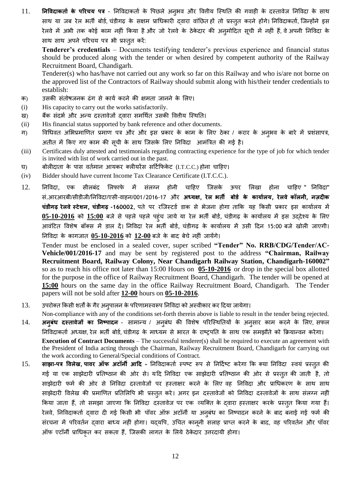11. **निविदाकर्ता के परिचय पत्र** - निविदाकर्ता के पिछले अनुभव और वितीय स्थिति की गवाही के दस्तावेज निविदा के साथ साथ या जब रेल भर्ती बोर्ड, चंडीगढ़ के सक्षम प्राधिकारी द्वारा वांछित हों तो प्रस्तुत करने होंगे। निविदाकर्ता, जिन्होंने इस रेलवे में अभी तक कोई काम नहीं किया है और जो रेलवे के ठेकेदार की अनुमोदित सूची में नहीं हैं, वे अपनी निविदा के साथ साथ अपने परिचय पत्र भी प्रस्तुत करें:

**Tenderer's credentials** – Documents testifying tenderer's previous experience and financial status should be produced along with the tender or when desired by competent authority of the Railway Recruitment Board, Chandigarh.

Tenderer(s) who has/have not carried out any work so far on this Railway and who is/are not borne on the approved list of the Contractors of Railway should submit along with his/their tender credentials to establish:

- क) उसकी संतोषजनक ढंग से कार्य करने की क्षमता जानने के लिए।
- (i) His capacity to carry out the works satisfactorily.
- ख) बैंक संदर्भ और अन्य दस्तावेजों दवारा समर्थित उसकी वित्तीय स्थिति।
- (ii) His financial status supported by bank reference and other documents.
- ग) विधिवत अभिप्रमाणित प्रमाण पत्र और और इस प्रकार के काम के लिए ठेका / करार के अनुभव के बारे में प्रशंसापत्र, अतीत में किए गए काम की सूची के साथ जिसके लिए निविदा आमंत्रित की गई है।
- (iii) Certificates duly attested and testimonials regarding contracting experience for the type of job for which tender is invited with list of work carried out in the past.
- घ) बोलीदाता के पास वर्तमान आयकर क्लीयरेंस सर्टिफिकेट (I.T.C.C.) होना चाहिए।
- (iv) Bidder should have current Income Tax Clearance Certificate (I.T.C.C.).
- 12. निविदा, एक सीलबंद लिफाफे में संलग्न होनी चाहिए जिसके ऊपर लिखा होना चाहिए " निविदा" सॊ.आयआयफी/सीडीजी/तनविदा/एसी-िाहन/001/2016-17 औय **अध्मऺ, येर बर्ी फोडा के कामाारम, येरवे कॉरनी, नज़दीक चंडीगढ़ येरवेस्टेिन, चंडीगढ़ -160002**, ऩते ऩय यजजस्टडड डाक से बेजना होगा ताकक मह ककसी प्रकाय इस कामाडरम भें 05-10-2016 को 15:00 बजे से पहले पहले पहुंच जाये या रेल भर्ती बोर्ड, चंडीगढ़ के कार्यालय में इस उद्देश्य के लिए आवंटित विशेष बॉक्स में डाल दें। निविदा रेल भर्ती बोर्ड, चंडीगढ़ के कार्यालय में उसी दिन 15:00 बजे खोली जाएगी। तनविदा के कागजात **05-10-2016** को **12-00** फजे के फाद फेचे नहीॊ जामेंगे।

Tender must be enclosed in a sealed cover, super scribed **"Tender" No. RRB/CDG/Tender/AC-Vehicle/001/2016-17** and may be sent by registered post to the address **"Chairman, Railway Recruitment Board, Railway Colony, Near Chandigarh Railway Station, Chandigarh-160002"** so as to reach his office not later than 15:00 Hours on **05-10-2016** or drop in the special box allotted for the purpose in the office of Railway Recruitment Board, Chandigarh. The tender will be opened at **15:00** hours on the same day in the office Railway Recruitment Board, Chandigarh. The Tender papers will not be sold after **12-00** hours on **05-10-2016**.

- 13. उपरोक्त किसी शर्तों के गैर अनुपालन के परिणामस्वरूप निविदा को अस्वीकार कर दिया जायेगा।
- Non-compliance with any of the conditions set-forth therein above is liable to result in the tender being rejected. 14. **अनुबंध दस्तावेजों का निष्पादन** - सामान्य / अनुबंध की विशेष परिस्थितियों के अनुसार काम करने के लिए, सफल निविदाकर्ता अध्यक्ष, रेल भर्ती बोर्ड, चंडीगढ़ के माध्यम से भारत के राष्ट्रपति के साथ एक समझौते को क्रियान्वन करेगा। **Execution of Contract Documents** – The successful tenderer(s) shall be required to execute an agreement with the President of India acting through the Chairman, Railway Recruitment Board, Chandigarh for carrying out the work according to General/Special conditions of Contract.
- 15. साझा-पत्र विलेख, पावर ऑफ अटॉर्नी आदि निविदाकर्ता स्पष्ट रूप से निर्दिष्ट करेगा कि क्या निविदा स्वयं प्रस्तुत की गई या एक साझेदारी प्रतिष्ठान की ओर से। यदि निविदा एक साझेदारी प्रतिष्ठान की ओर से प्रस्तुत की जाती है, तो साझेदारी फर्म की ओर से निविदा दस्तावेजों पर हस्ताक्षर करने के लिए वह निविदा और प्राधिकरण के साथ साथ साझेदारी विलेख की प्रमाणित प्रतिलिपि भी प्रस्तुत करे। अगर इन दस्तावेजों को निविदा दस्तावेजों के साथ संलग्न नहीं किया जाता हैं, तो समझा जाएगा कि निविदा दस्तावेज पर एक व्यक्ति के दवारा हस्ताक्षर करके प्रस्तुत किया गया हैं। रेलवे, निविदाकर्ता दवारा दी गई किसी भी पॉवर ऑफ़ अटॉर्नी या अनुबंध का निष्पादन करने के बाद बनाई गई फर्म की संरचना में परिवर्तन दवारा बाध्य नहीं होगा। यदयपि, उचित कानूनी सलाह प्राप्त करने के बाद, वह परिवर्तन और पॉवर ऑप एटॉनी प्राग्रधकृत कय सकता हैं, जजसकी रागत के लरमे ठेके दाय उत्तयदामी होगा।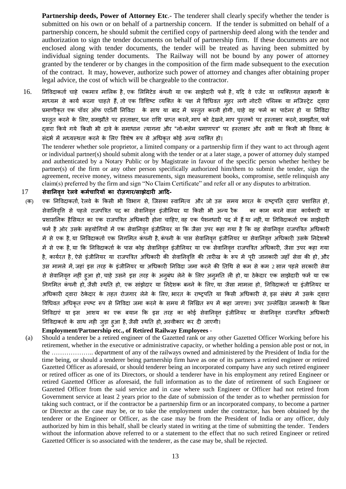**Partnership deeds, Power of Attorney Etc.**- The tenderer shall clearly specify whether the tender is submitted on his own or on behalf of a partnership concern. If the tender is submitted on behalf of a partnership concern, he should submit the certified copy of partnership deed along with the tender and authorization to sign the tender documents on behalf of partnership firm. If these documents are not enclosed along with tender documents, the tender will be treated as having been submitted by individual signing tender documents. The Railway will not be bound by any power of attorney granted by the tenderer or by changes in the composition of the firm made subsequent to the execution of the contract. It may, however, authorize such power of attorney and changes after obtaining proper legal advice, the cost of which will be chargeable to the contractor.

16. निविदाकर्ता चाहे एकमात्र मालिक है, एक लिमिटेड कंपनी या एक साझेदारी फर्म है, यदि वे एजेंट या व्यक्तिगत सहभागी के माध्यम से कार्य करना चाहते हैं, तो एक विशिष्ट व्यक्ति के पक्ष में विधिवत मुहर लगी नोटरी पब्लिक या मजिस्ट्रेट दवारा प्रमाणीकृत एक पॉवर ऑफ एटॉर्नी निविदा के साथ या बाद में प्रस्तुत करनी होगी, चाहे वह फर्म का पार्टनर हो या निविदा प्रस्तुत करने के लिए, समझौते पर हस्ताक्षर, धन राशि प्राप्त करने, माप को देखने, माप पुस्तकों पर हस्ताक्षर करने, समझौता, फर्म दवारा किये गये किसी भी दावे के समाधान त्यागना और "नो-क्लेम प्रमाणपत्र" पर हस्ताक्षर और सभी या किसी भी विवाद के संदर्भ में मध्यस्थता करने के लिए विशेष रूप से अधिकृत कोई अन्य व्यक्ति हो।

The tenderer whether sole proprietor, a limited company or a partnership firm if they want to act through agent or individual partner(s) should submit along with the tender or at a later stage, a power of attorney duly stamped and authenticated by a Notary Public or by Magistrate in favour of the specific person whether he/they be partner(s) of the firm or any other person specifically authorized him/them to submit the tender, sign the agreement, receive money, witness measurements, sign measurement books, compromise, settle relinquish any claim(s) preferred by the firm and sign "No Claim Certificate" and refer all or any disputes to arbitration.

#### 17 **सेवाननवत्तृ येरवे कभाचारयमों का योज़गाय/साझेदायी आदद-**

(क) एक निविदाकर्ता, रेलवे के किसी भी विभाग से, जिसका स्वामित्व और जो उस समय भारत के राष्ट्रपति दवारा प्रशासित हो, सेवानिवृत्ति से पहले राजपत्रित पद का सेवानिवृत्त इंजीनियर या किसी भी अन्य रैक का काम करने वाला कार्यकारी या प्रशासनिक हैसियत का एक राजपत्रित अधिकारी होना चाहिए वह एक पेंशनधारी पद में हैं या नहीं, या निविदाकर्ता एक साझेदारी फर्म है ओर उसके सहयोगियों में एक सेवानिवृत्त इंजीनियर या कि जैसा उपर कहा गया है कि वह सेवानिवृत्त राजपत्रित अधिकारी में से एक है, या निविदाकर्ता एक निगमित कंपनी है, कंपनी के पास सेवानिवृत्त इंजीनियर या सेवानिवृत्त अधिकारी उसके निदेशकों में से एक है, या कि निविदाकर्ता के पास कोइ सेवानिवृत्त इंजीनियर या एक सेवानिवृत्त राजपत्रित अधिकारी, जैसा उपर कहा गया है, कार्यरत है, ऐसे इंजीनियर या राजपत्रित अधिकारी की सेवानिवृत्ति की तारीख के रूप में पुरी जानकारी जहाँ सेवा की हो, और उस मामले में, जहां इस तरह के इंजीनियर या अधिकारी निविदा जमा करने की तिथि से कम से कम 2 साल पहले सरकारी सेवा से सेवानिवृत्त नहीं हुआ हो, चाहे उसने इस तरह के अनुबंध लेने के लिए अनुमति ली हो, या ठेकेदार एक साझेदारी फर्म या एक <u>निगमित कंपनी हो,</u> जैसी स्थति हो, एक सांझेदार या निदेशक बनने के लिए, या जैसा मामला हो, निविदाकर्ता या इंजीनियर या अधिकारी दवारा ठेकेदार के तहत रोजगार लेने के लिए, भारत के राष्ट्रपति या किसी अधिकारी से, इस संबंध में उसके दवारा विधिवत अधिकृत स्पष्ट रूप से निविदा जमा करने के समय में लिखित रूप में कहा जाएगा। ऊपर उल्लेखित जानकारी के बिना निविदाएं या इस आशय का एक बयान कि इस तरह का कोई सेवानिवृत्त इंजीनियर या सेवानिवृत्त राजपत्रित अधिकारी निविदाकर्ता के साथ नही जुड़ा हुआ है, जैसी स्थति हो, अस्वीकार कर दी जाएगी।

#### **Employment/Partnership etc., of Retired Railway Employees** -

(a) Should a tenderer be a retired engineer of the Gazetted rank or any other Gazetted Officer Working before his retirement, whether in the executive or administrative capacity, or whether holding a pension able post or not, in the ……………….. department of any of the railways owned and administered by the President of India for the time being, or should a tenderer being partnership firm have as one of its partners a retired engineer or retired Gazetted Officer as aforesaid, or should tenderer being an incorporated company have any such retired engineer or retired officer as one of its Directors, or should a tenderer have in his employment any retired Engineer or retired Gazetted Officer as aforesaid, the full information as to the date of retirement of such Engineer or Gazetted Officer from the said service and in case where such Engineer or Officer had not retired from Government service at least 2 years prior to the date of submission of the tender as to whether permission for taking such contract, or if the contractor be a partnership firm or an incorporated company, to become a partner or Director as the case may be, or to take the employment under the contractor, has been obtained by the tenderer or the Engineer or Officer, as the case may be from the President of India or any officer, duly authorized by him in this behalf, shall be clearly stated in writing at the time of submitting the tender. Tenders without the information above referred to or a statement to the effect that no such retired Engineer or retired Gazetted Officer is so associated with the tenderer, as the case may be, shall be rejected.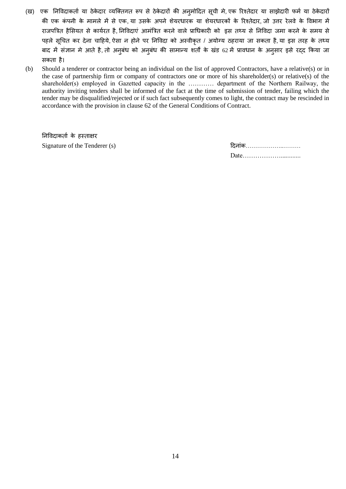- (ख) एक निविदाकर्ता या ठेकेदार व्यक्तिगत रूप से ठेकेदारों की अनुमोदित सूची मे, एक रिश्तेदार या साझेदारी फर्म या ठेकेदारों की एक कंपनी के मामले में से एक, या उसके अपने शेयरधारक या शेयरधारकों के रिश्तेदार, जो उत्तर रेलवे के विभाग में राजपत्रित हैसियत से कार्यरत है, निविदाएं आमंत्रित करने वाले प्राधिकारी को इस तथ्य से निविदा जमा करने के समय से पहले सूचित कर देना चाहिये, ऐसा न होने पर निविदा को अस्वीकृत / अयोग्य ठहराया जा सकता है, या इस तरह के तथ्य बाद में संज्ञान मे आते है, तो अनुबंध को अनुबंध की सामान्य शर्तों के खंड 62 में प्रावधान के अनुसार इसे रद्द किया जा सकता है।
- (b) Should a tenderer or contractor being an individual on the list of approved Contractors, have a relative(s) or in the case of partnership firm or company of contractors one or more of his shareholder(s) or relative(s) of the shareholder(s) employed in Gazetted capacity in the ………… department of the Northern Railway, the authority inviting tenders shall be informed of the fact at the time of submission of tender, failing which the tender may be disqualified/rejected or if such fact subsequently comes to light, the contract may be rescinded in accordance with the provision in clause 62 of the General Conditions of Contract.

निविदाकर्ता के हस्ताक्षर Signature of the Tenderer (s)

| दिनांक |  |
|--------|--|
|        |  |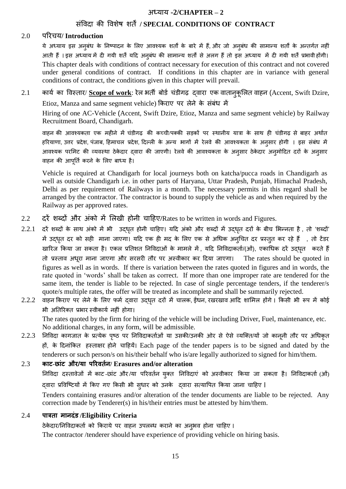# सॊविदा की विशेर् शतें**/ SPECIAL CONDITIONS OF CONTRACT**

#### 2.0 ऩरयचम**/ Introduction**

ये अध्याय इस अनुबंध के निष्पादन के लिए आवश्यक शर्तों के बारे में हैं, और जो अनुबंध की सामान्य शर्तों के अन्तर्गत नहीं आती हैं । इस अध्याय में दी गयी शर्तें यदि अनुबंध की सामान्य शर्तों से अलग हैं तो इस अध्याय में दी गयी शर्तें प्रभावी होंगी। This chapter deals with conditions of contract necessary for execution of this contract and not covered under general conditions of contract. If conditions in this chapter are in variance with general conditions of contract, the conditions given in this chapter will prevail.

2.1 कार्य का विस्तार/ Scope of work: रेल भर्ती बोर्ड चंडीगढ़ दवारा एक वातान्कुलित वाहन (Accent, Swift Dzire, Etioz, Manza and same segment vehicle) किराए पर लेने के संबंध में

Hiring of one AC-Vehicle (Accent, Swift Dzire, Etioz, Manza and same segment vehicle) by Railway Recruitment Board, Chandigarh.

वाहन की आवश्यकता एक महीने में चंडीगढ़ की कच्ची/पक्की सड़कों पर स्थानीय यात्रा के साथ ही चंडीगढ़ से बाहर अर्थात हरियाणा, उत्तर प्रदेश, पंजाब, हिमाचल प्रदेश, दिल्ली के अन्य भागों में रेलवे की आवश्यकता के अनुसार होगी । इस संबंध में आवश्यक परमिट की व्यवस्था ठेकेदार द्वारा की जाएगी। रेलवे की आवश्यकता के अनुसार ठेकेदार अनुमोदित दरों के अनुसार वाहन की आपूर्ति करने के लिए बाध्य है।

Vehicle is required at Chandigarh for local journeys both on katcha/pucca roads in Chandigarh as well as outside Chandigarh i.e. in other parts of Haryana, Uttar Pradesh, Punjab, Himachal Pradesh, Delhi as per requirement of Railways in a month. The necessary permits in this regard shall be arranged by the contractor. The contractor is bound to supply the vehicle as and when required by the Railway as per approved rates.

- 2.2 दरें शब्दों और अंको में लिखी होनी चाहिए/Rates to be written in words and Figures.
- $2.2.1$  दरें शब्दों के साथ अंको में भी उद्धृत होनी चाहिए। यदि अंको और शब्दों में उद्धृत दरों के बीच भिन्नता है, तो 'शब्दों' में उद्धृत दर को सही माना जाएगा। यदि एक ही मद के लिए एक से अधिक अनुचित दर प्रस्तुत कर रहे हैं , तो टेंडर खारिज किया जा सकता है। एकल प्रतिशत निविदाओं के मामले में, यदि निविदाकर्ता/(ओं), एकाधिक दरें उद्धृत करते हैं तो प्रस्ताि अधूया भाना जाएगा औय सयसयी तौय ऩय अस्िीकाय कय ददमा जाएगा। The rates should be quoted in figures as well as in words. If there is variation between the rates quoted in figures and in words, the rate quoted in "words" shall be taken as correct. If more than one improper rate are tendered for the same item, the tender is liable to be rejected. In case of single percentage tenders, if the tenderer/s quote/s multiple rates, the offer will be treated as incomplete and shall be summarily rejected.
- 2.2.2 वाहन किराए पर लेने के लिए फर्म दवारा उद्धृत दरों में चालक, ईंधन, रखरखाव आदि शामिल होंगे। किसी भी रूप में कोई भी अतिरिक्त प्रभार स्वीकार्य नहीं होगा।

The rates quoted by the firm for hiring of the vehicle will be including Driver, Fuel, maintenance, etc. No additional charges, in any form, will be admissible.

2.2.3 निविदा कागजात के प्रत्येक पृष्ठ पर निविदाकर्ताओं या उसकी/उनकी ओर से ऐसे व्यक्ति/यों जो कानूनी तौर पर अधिकृत हों, के दिनांकित हस्ताक्षर होने चाहियें। Each page of the tender papers is to be signed and dated by the tenderers or such person/s on his/their behalf who is/are legally authorized to signed for him/them.

#### 2.3 **काट-छांट औय/मा ऩरयवर्ान/ Erasures and/or alteration**

निविदा दस्तावेजों में काट -छांट और /या परिवर्तन युक्त निविदाएं को अस्वीकार किया जा सकता है। निविदाकर्ता (ओं) दवारा प्रविष्टियों में किए गए किसी भी सुधार को उनके दवारा सत्यापित किया जाना चाहिए ।

Tenders containing erasures and/or alteration of the tender documents are liable to be rejected. Any correction made by Tenderer(s) in his/their entries must be attested by him/them.

### 2.4 **ऩात्रर्ा भानदंड /Eligibility Criteria**

ठेकेदार/निविदाकर्ता को किराये पर वाहन उपलब्ध कराने का अनुभव होना चाहिए ।

The contractor /tenderer should have experience of providing vehicle on hiring basis.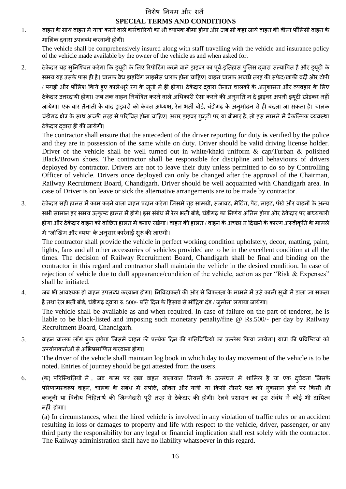#### विशेष नियम और शर्तें

### **SPECIAL TERMS AND CONDITIONS**

1. वाहन के साथ वाहन में यात्रा करने वाले कर्मचारियों का भी व्यापक बीमा होगा और जब भी कहा जाये वाहन की बीमा पॉलिसी वाहन के मालिक दवारा उपलब्ध करवानी होगी।

The vehicle shall be comprehensively insured along with staff travelling with the vehicle and insurance policy of the vehicle made available by the owner of the vehicle as and when asked for.

2. ठेकेदार यह सुनिश्चित करेगा कि ड्यूटी के लिए रिपोर्टिंग करने वाले ड्राइवर का पूर्व-इतिहास पुलिस दवारा सत्यापित है और ड्यूटी के समय यह उसके पास ही है। चालक वैध ड्राइविंग लाइसेंस धारक होना चाहिए। वाहन चालक अच्छी तरह की सफेद/खाकी वर्दी और टोपी / पगड़ी और पॉलिश किये हुए काले/भूरे रंग के जूतो में ही होगा। ठेकेदार द्वारा तैनात चालकों के अनुशासन और व्यवहार के लिए ठेकेदार उत्तरदायी होगा। जब तक वाहन नियंत्रित करने वाले अधिकारी ऐसा करने की अनुमति न दे ड्राइवर अपनी ड्यूटी छोड़कर नहीं जायेगा। एक बार तैनाती के बाद ड्राइवरों को केवल अध्यक्ष, रेल भर्ती बोर्ड, चंडीगढ़ के अनुमोदन से ही बदला जा सकता है। चालक चंडीगढ़ क्षेत्र के साथ अच्छी तरह से परिचित होना चाहिए। अगर ड्राइवर छुट्टी पर या बीमार है, तो इस मामले में वैकल्पिक व्यवस्था ठेकेदार दवारा ही की जायेगी।

The contractor shall ensure that the antecedent of the driver reporting for duty **is** verified by the police and they are in possession of the same while on duty. Driver should be valid driving license holder. Driver of the vehicle shall be well turned out in white/khaki uniform & cap/Turban & polished Black/Brown shoes. The contractor shall be responsible for discipline and behaviours of drivers deployed by contractor. Drivers are not to leave their duty unless permitted to do so by Controlling Officer of vehicle. Drivers once deployed can only be changed after the approval of the Chairman, Railway Recruitment Board, Chandigarh. Driver should be well acquainted with Chandigarh area. In case of Driver is on leave or sick the alternative arrangements are to be made by contractor.

3. ठेकेदार सही हालत में काम करने वाला वाहन प्रदान करेगा जिसमे गृह सामग्री, सजावट, मैटिंग, पेंट, लाइट, पंखे और वाहनों के अन्य सभी सामान हर समय उत्कृष्ट हालत में होगे। इस संबंध में रेल भर्ती बोर्ड, चंडीगढ़ का निर्णय अंतिम होगा और ठेकेदार पर बाध्यकारी होगा और ठेकेदार वाहन को वांछित हालत में बनाए रखेगा। वाहन की हालत / वाहन के अच्छा न दिखने के कारण अस्वीकृति के मामले में "जोखिम और व्यय" के अनुसार कार्रवाई शुरू की जाएगी।

The contractor shall provide the vehicle in perfect working condition upholstery, decor, matting, paint, lights, fans and all other accessories of vehicles provided are to be in the excellent condition at all the times. The decision of Railway Recruitment Board, Chandigarh shall be final and binding on the contractor in this regard and contractor shall maintain the vehicle in the desired condition. In case of rejection of vehicle due to dull appearance/condition of the vehicle, action as per "Risk & Expenses" shall be initiated.

- 4. जब भी आवश्यक हो वाहन उपलब्ध करवाना होगा। निविदाकर्ता की ओर से विफलता के मामले में उसे काली सूची में डाला जा सकता है तथा रेल भर्ती बोर्ड, चंडीगढ़ दवारा रु. 500/- प्रति दिन के हिसाब से मौदिक दंड / जुर्माना लगाया जायेगा। The vehicle shall be available as and when required. In case of failure on the part of tenderer, he is liable to be black-listed and imposing such monetary penalty/fine @ Rs.500/- per day by Railway
- 5. वाहन चालक लॉग बुक रखेगा जिसमें वाहन की प्रत्येक दिन की गतिविधियो का उल्लेख किया जायेगा। यात्रा की प्रविष्टियां को उपयोगकर्ताओं से अभिप्रमाणित करवाना होगा।

Recruitment Board, Chandigarh.

The driver of the vehicle shall maintain log book in which day to day movement of the vehicle is to be noted. Entries of journey should be got attested from the users.

6. (क) परिस्थितियों में , जब काम पर रखा वाहन यातायात नियमों के उल्लंघन में शामिल है या एक दुर्घटना जिसके परिणामस्वरूप वाहन, चालक के संबंध में संपत्ति, जीवन और यात्री या किसी तीसरे पक्ष को नुकसान होने पर किसी भी कानूनी या वितीय निहितार्थ की जिम्मेदारी पूरी तरह से ठेकेदार की होगी। रेलवे प्रशासन का इस संबंध में कोई भी दायित्व नहीं होगा।

(a) In circumstances, when the hired vehicle is involved in any violation of traffic rules or an accident resulting in loss or damages to property and life with respect to the vehicle, driver, passenger, or any third party the responsibility for any legal or financial implication shall rest solely with the contractor. The Railway administration shall have no liability whatsoever in this regard.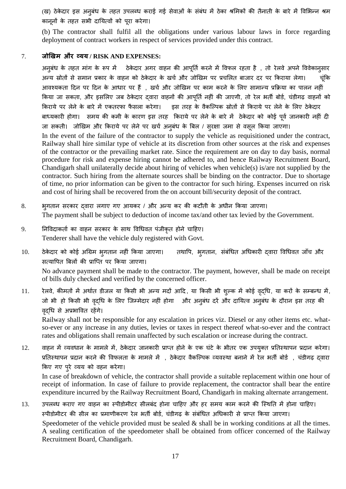(ख) ठेकेदार इस अनुबंध के तहत उपलब्ध कराई गई सेवाओं के संबंध में ठेका श्रमिकों की तैनाती के बारे में विभिन्न श्रम कानूनों के तहत सभी दायित्वों को पूरा करेगा।

(b) The contractor shall fulfil all the obligations under various labour laws in force regarding deployment of contract workers in respect of services provided under this contract.

#### 7. **जोखखभ औय व्मम / RISK AND EXPENSES:**

अनुबंध के तहत मांग के रूप में ठेकेदार अगर वाहन की आपूर्ति करने में विफल रहता है , तो रेलवे अपने विवेकानुसार अन्य स्रोतों से समान प्रकार के वाहन को ठेकेदार के खर्च और जोखिम पर प्रचलित बाजार दर पर किराया लेगा। चूंकि आवश्यकता दिन पर दिन के आधार पर हैं , खर्च और जोखिम पर काम करने के लिए सामान्य प्रक्रिया का पालन नहीं किया जा सकता, और इसलिए जब ठेकेदार दवारा वाहनों की आपूर्ति नहीं की जाएगी, तो रेल भर्ती बोर्ड, चंडीगढ़ वाहनों को किराये पर लेने के बारे में एकतरफा फैसला करेगा। इस तरह के वैकल्पिक स्रोतों से किराये पर लेने के लिए ठेकेदार बाध्यकारी होगा। समय की कमी के कारण इस तरह किराये पर लेने के बारे में ठेकेदार को कोई पूर्व जानकारी नहीं दी जा सकती। जोखिम और किराये पर लेने पर खर्च अनुबंध के बिल / सुरक्षा जमा से वसूल किया जाएगा। In the event of the failure of the contractor to supply the vehicle as requisitioned under the contract, Railway shall hire similar type of vehicle at its discretion from other sources at the risk and expenses of the contractor or the prevailing market rate. Since the requirement are on day to day basis, normal procedure for risk and expense hiring cannot be adhered to, and hence Railway Recruitment Board, Chandigarh shall unilaterally decide about hiring of vehicles when vehicle(s) is/are not supplied by the contractor. Such hiring from the alternate sources shall be binding on the contractor. Due to shortage of time, no prior information can be given to the contractor for such hiring. Expenses incurred on risk and cost of hiring shall be recovered from the on account bill/security deposit of the contract.

- 8. भुगतान सरकार दवारा लगाए गए आयकर / और अन्य कर की कटौती के अधीन किया जाएगा। The payment shall be subject to deduction of income tax/and other tax levied by the Government.
- 9. निविदाकर्ता का वाहन सरकार के साथ विधिवत पंजीकृत होने चाहिए। Tenderer shall have the vehicle duly registered with Govt.
- 10. ठेकेदार को कोई अग्रिम भृगतान नहीं किया जाएगा। तथापि, भृगतान, संबंधित अधिकारी दवारा विधिवत जाँच और सत्यापित बिलों की प्राप्ति पर किया जाएगा। No advance payment shall be made to the contractor. The payment, however, shall be made on receipt of bills duly checked and verified by the concerned officer.
- 11. रेलवे, कीमतों में अर्थात डीजल या किसी भी अन्य मदों आदि, या किसी भी शुल्क में कोई वृद्धि, या करों के सम्बन्ध में, जो भी हो किसी भी वृद्धि के लिए जिम्मेदार नहीं होगा और अनुबंध दरें और दायित्व अनुबंध के दौरान इस तरह की िद्ृग्रध से अप्रबावित यहेंगे।

Railway shall not be responsible for any escalation in prices viz. Diesel or any other items etc. whatso-ever or any increase in any duties, levies or taxes in respect thereof what-so-ever and the contract rates and obligations shall remain unaffected by such escalation or increase during the contract.

12. वाहन में व्यवधान के मामले में, ठेकेदार जानकारी प्राप्त होने के एक घंटे के भीतर एक उपयुक्त प्रतिस्थापन प्रदान करेगा। प्रतिस्थापन प्रदान करने की विफलता के मामले में , ठेकेदार वैकल्पिक व्यवस्था बनाने में रेल भर्ती बोर्ड , चंडीगढ़ द्वारा किए गए पूरे व्यय को वहन करेगा।

In case of breakdown of vehicle, the contractor shall provide a suitable replacement within one hour of receipt of information. In case of failure to provide replacement, the contractor shall bear the entire expenditure incurred by the Railway Recruitment Board, Chandigarh in making alternate arrangement.

13. उपलब्ध कराए गए वाहन का स्पीडोमीटर सीलबंद होना चाहिए और हर समय काम करने की स्थिति में होना चाहिए। स्पीडोमीटर की सील का प्रमाणीकरण रेल भर्ती बोर्ड, चंडीगढ़ के संबंधित अधिकारी से प्राप्त किया जाएगा। Speedometer of the vehicle provided must be sealed  $\&$  shall be in working conditions at all the times. A sealing certification of the speedometer shall be obtained from officer concerned of the Railway Recruitment Board, Chandigarh.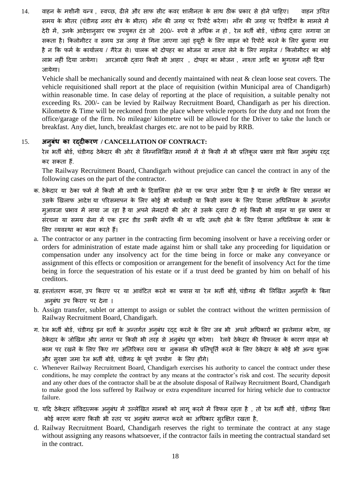14. वाहन के मशीनी यन्त्र , स्वच्छ, ढीले और साफ सीट कवर शालीनता के साथ ठीक प्रकार से होने चाहिए। वाहन उचित समय के भीतर (चंडीगढ़ नगर क्षेत्र के भीतर) माँग की जगह पर रिपोर्ट करेगा। माँग की जगह पर रिपोर्टिंग के मामले में देरी में, उनके आदेशानुसार एक उपयुक्त दंड जो 200/- रुपये से अधिक न हो , रेल भर्ती बोर्ड, चंडीगढ़ दवारा लगाया जा सकता है। किलोमीटर व समय उस जगह से गिना जाएगा जहां ड़यूटी के लिए वाहन को रिपोर्ट करने के लिए बलाया गया है न कि फर्म के कार्यालय / गैरेज से। चालक को दोपहर का भोजन या नाश्ता लेने के लिए माइलेज / किलोमीटर का कोई लाभ नहीं दिया जायेगा। आरआरबी दवारा किसी भी आहार), दोपहर का भोजन , नाश्ता आदि का भगतान नहीं दिया जामेगा।

Vehicle shall be mechanically sound and decently maintained with neat & clean loose seat covers. The vehicle requisitioned shall report at the place of requisition (within Municipal area of Chandigarh) within reasonable time. In case delay of reporting at the place of requisition, a suitable penalty not exceeding Rs. 200/- can be levied by Railway Recruitment Board, Chandigarh as per his direction. Kilometre & Time will be reckoned from the place where vehicle reports for the duty and not from the office/garage of the firm. No mileage/ kilometre will be allowed for the Driver to take the lunch or breakfast. Any diet, lunch, breakfast charges etc. are not to be paid by RRB.

#### 15. **अनफुधं का यद्दीकयण / CANCELLATION OF CONTRACT:**

रेल भर्ती बोर्ड, चंडीगढ़ ठेकेदार की ओर से निम्नलिखित मामलों में से किसी में भी प्रतिकूल प्रभाव डाले बिना अनुबंध रद्द कय सकता हैं.

The Railway Recruitment Board, Chandigarh without prejudice can cancel the contract in any of the following cases on the part of the contractor.

- क. ठेकेदार या ठेका फर्म में किसी भी साथी के दिवालिया होने या एक प्राप्त आदेश दिया है या संपत्ति के लिए प्रशासन का उसके खिलाफ आदेश या परिसमापन के लिए कोई भी कार्यवाही या किसी समय के लिए दिवाला अधिनियम के अन्तर्गत म्आवजा प्रभाव में लाया जा रहा है या अपने लेनदारों की ओर से उसके द्वारा दी गई किसी भी वाहन या इस प्रभाव या संरचना या समय सेना में एक ट्रस्ट डीड उसकी संपति की या यदि ज़ब्ती होने के लिए दिवाला अधिनियम के लाभ के लिए व्यवस्था का काम करते हैं।
- a. The contractor or any partner in the contracting firm becoming insolvent or have a receiving order or orders for administration of estate made against him or shall take any proceeding for liquidation or compensation under any insolvency act for the time being in force or make any conveyance or assignment of this effects or composition or arrangement for the benefit of insolvency Act for the time being in force the sequestration of his estate or if a trust deed be granted by him on behalf of his creditors.
- ख. हस्तांतरण करना, उप किराए पर या आवंटित करने का प्रयास या रेल भर्ती बोर्ड, चंडीगढ़ की लिखित अनुमति के बिना अनुबंध उप किराए पर देना ।
- b. Assign transfer, sublet or attempt to assign or sublet the contract without the written permission of Railway Recruitment Board, Chandigarh.
- ग. रेल भर्ती बोर्ड, चंडीगढ़ इन शर्तों के अन्तर्गत अनुबंध रदद करने के लिए जब भी अपने अधिकारों का इस्तेमाल करेगा, वह ठेकेदार के जोखिम और लागत पर किसी भी तरह से अनुबंध पूरा करेगा। रेलवे ठेकेदार की विफलता के कारण वाहन को काम पर रखने के लिए किए गए अतिरिक्त व्यय या नुकसान की प्रतिपूर्ति करने के लिए ठेकेदार के कोई भी अन्य शुल्क और सुरक्षा जमा रेल भर्ती बोर्ड, चंडीगढ़ के पूर्ण उपयोग के लिए होंगे।
- c. Whenever Railway Recruitment Board, Chandigarh exercises his authority to cancel the contract under these conditions, he may complete the contract by any means at the contractor"s risk and cost. The security deposit and any other dues of the contractor shall be at the absolute disposal of Railway Recruitment Board, Chandigarh to make good the loss suffered by Railway or extra expenditure incurred for hiring vehicle due to contractor failure.
- घ. यदि ठेकेदार संविदात्मक अनुबंध में उल्लेखित मानकों को लागू करने में विफल रहता है , तो रेल भर्ती बोर्ड, चंडीगढ़ बिना कोई कारण बताए किसी भी स्तर पर अनुबंध समाप्त करने का अधिकार सुरक्षित रखता है,
- d. Railway Recruitment Board, Chandigarh reserves the right to terminate the contract at any stage without assigning any reasons whatsoever, if the contractor fails in meeting the contractual standard set in the contract.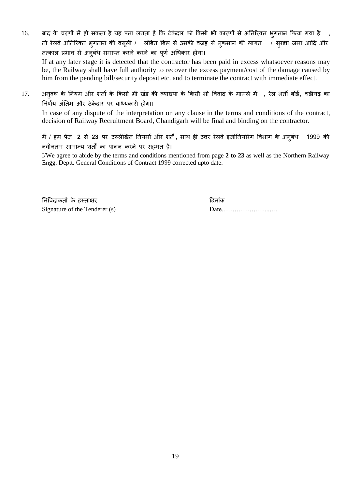- 16. बाद के चरणों में हो सकता है यह पता लगता है कि ठेकेदार को किसी भी कारणों से अतिरिक्त भ्गतान किया गया है तो रेलवे अतिरिक्त भ्गतान की वसूली / लंबित बिल से उसकी वजह से नुकसान की लागत / सुरक्षा जमा आदि और तत्काल प्रभाव से अनुबंध समाप्त करने करने का पूर्ण अधिकार होगा। If at any later stage it is detected that the contractor has been paid in excess whatsoever reasons may be, the Railway shall have full authority to recover the excess payment/cost of the damage caused by him from the pending bill/security deposit etc. and to terminate the contract with immediate effect.
- 17. अनुबंध के नियम और शर्तों के किसी भी खंड की व्याख्या के किसी भी विवाद के मामले में , रेल भर्ती बोर्ड, चंडीगढ़ का निर्णय अंतिम और ठेकेदार पर बाध्यकारी होगा।

In case of any dispute of the interpretation on any clause in the terms and conditions of the contract, decision of Railway Recruitment Board, Chandigarh will be final and binding on the contractor.

मैं / हम पेज 2 से 23 पर उल्लेखित नियमों और शर्तें, साथ ही उत्तर रेलवे इंजीनियरिंग विभाग के अनुबंध 1999 की नवीनतम सामान्य शर्तों का पालन करने पर सहमत है।

I/We agree to abide by the terms and conditions mentioned from page **2 to 23** as well as the Northern Railway Engg. Deptt. General Conditions of Contract 1999 corrected upto date.

निविदाकता के हस्ताक्षर दिनांक दिनांक Signature of the Tenderer (s) Date…………………..….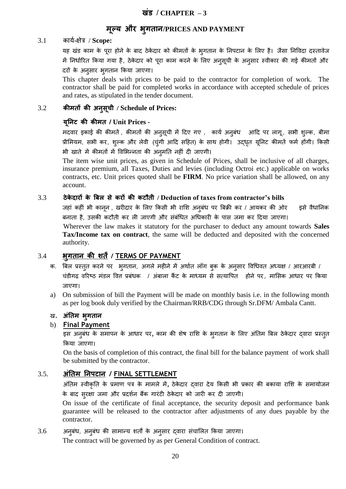# **भूल्म औय ब ु गर्ान/PRICES AND PAYMENT**

### 3.1 कामड-ऺेत्र / **Scope:**

यह खंड काम के पूरा होने के बाद ठेकेदार को कीमतों के भृगतान के निपटान के लिए है। जैसा निविदा दस्तावेज में निर्धारित किया गया है, ठेकेदार को पूरा काम करने के लिए अनुसूची के अनुसार स्वीकार की गई कीमतों और दयों के अनुसाय बुगतान ककमा जाएगा।

This chapter deals with prices to be paid to the contractor for completion of work. The contractor shall be paid for completed works in accordance with accepted schedule of prices and rates, as stipulated in the tender document.

### 3.2 **कीभर्ों की अनसु चू ी / Schedule of Prices:**

### **मनूनट की कीभर् / Unit Prices -**

मदवार इकाई की कीमतें , कीमतों की अनुसूची में दिए गए , कार्य अनुबंध आदि पर लागू , सभी शुल्क, बीमा प्रीमियम, सभी कर, शुल्क और लेवी (चुंगी आदि सहित) के साथ होगी। उद्धृत यूनिट कीमतें फर्म होंगी। किसी भी खाते में कीमतों में विभिन्नता की अनुमति नहीं दी जाएगी।

The item wise unit prices, as given in Schedule of Prices, shall be inclusive of all charges, insurance premium, all Taxes, Duties and levies (including Octroi etc.) applicable on works contracts, etc. Unit prices quoted shall be **FIRM**. No price variation shall be allowed, on any account.

### 3.3 **ठेके दायों के बफर से कयों की कटौर्ी / Deduction of taxes from contractor's bills**

जहां कहीं भी कानून , खरीदार के लिए किसी भी राशि अनुबंध पर बिक्री कर / आयकर की ओर जिसे वैधानिक बनाता है, उसकी कटौती कर ली जाएगी और संबंधित अधिकारी के पास जमा कर दिया जाएगा।

Wherever the law makes it statutory for the purchaser to deduct any amount towards **Sales Tax/Income tax on contract**, the same will be deducted and deposited with the concerned authority.

## 3.4 **बुगर्ान की िर्ें/ TERMS OF PAYMENT**

- क. बिल प्रस्तुत करने पर भुगतान, अगले महीने में अर्थात लॉग बुक के अनुसार विधिवत अध्यक्ष / आरआरबी / चंडीगढ़ वरिष्ठ मंडल वित्त प्रबंधक / अंबाला कैंट के माध्यम से सत्यापित होने पर, मासिक आधार पर किया जाएगा।
- a) On submission of bill the Payment will be made on monthly basis i.e. in the following month as per log book duly verified by the Chairman/RRB/CDG through Sr.DFM/ Ambala Cantt.

## ि. **अंनर्भ बगु र्ान**

## b) **Final Payment**

इस अनुबंध के समापन के आधार पर, काम की शेष राशि के भूगतान के लिए अंतिम बिल ठेकेदार दवारा प्रस्तुत किया जाएगा।

On the basis of completion of this contract, the final bill for the balance payment of work shall be submitted by the contractor.

## 3.5. **अंनर्भ ननऩटान / FINAL SETTLEMENT**

अंतिम स्वीकृति के प्रमाण पत्र के मामले में, ठेकेदार द्वारा देय किसी भी प्रकार की बकाया राशि के समायोजन के बाद सुरक्षा जमा और प्रदर्शन बैंक गारंटी ठेकेदार को जारी कर दी जाएगी।

On issue of the certificate of final acceptance, the security deposit and performance bank guarantee will be released to the contractor after adjustments of any dues payable by the contractor.

#### 3.6 अनुबंध, अनुबंध की सामान्य शतों के अनुसार द्वारा संचालित किया जाएगा।

The contract will be governed by as per General Condition of contract.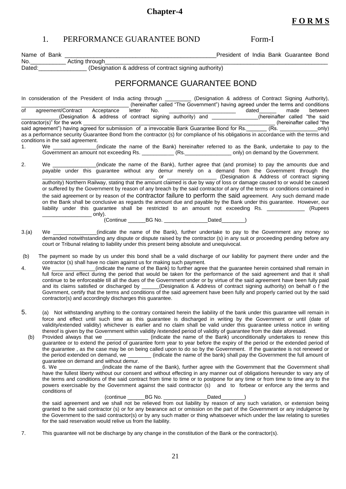# **Chapter-4**

# 1. PERFORMANCE GUARANTEE BOND Form-I

| No. Come Acting through Come Come<br>Dated: ________________(Designation & address of contract signing authority)<br>PERFORMANCE GUARANTEE BOND<br>In consideration of the President of India acting through (Designation & address of Contract Signing Authority),<br>(Designation & address of contract signing authority) and ______________(hereinafter called "the said<br>(hereinafter called "the<br>said agreement") having agreed for submission of a irrevocable Bank Guarantee Bond for Rs.<br>as a performance security Guarantee Bond from the contractor (s) for compliance of his obligations in accordance with the terms and<br>conditions in the said agreement.<br>We _____________(indicate the name of the Bank) hereinafter referred to as the Bank, undertake to pay to the<br>1.<br>Government an amount not exceeding Rs. ___________ (Rs. ________________ only) on demand by the Government.<br>2.<br>We _____________(indicate the name of the Bank), further agree that (and promise) to pay the amounts due and<br>payable under this guarantee without any demur merely on a demand from the Government through the<br>authority) Northern Railway, stating that the amount claimed is due by way of loss or damage caused to or would be caused<br>or suffered by the Government by reason of any breach by the said contractor of any of the terms or conditions contained in<br>the said agreement or by reason of the contractor failure to perform the said agreement. Any such demand made<br>on the Bank shall be conclusive as regards the amount due and payable by the Bank under this guarantee. However, our<br>liability under this guarantee shall be restricted to an amount not exceeding Rs. ____________ (Rupees<br>(Continue ___________BG No. ________________________Dated___________)<br>We ______________(indicate the name of the Bank), further undertake to pay to the Government any money so<br>3.(a)<br>demanded notwithstanding any dispute or dispute raised by the contractor (s) in any suit or proceeding pending before any<br>court or Tribunal relating to liability under this present being absolute and unequivocal.<br>The payment so made by us under this bond shall be a valid discharge of our liability for payment there under and the<br>(b)<br>contractor (s) shall have no claim against us for making such payment.<br>We _____________(indicate the name of the Bank) to further agree that the guarantee herein contained shall remain in<br>4.<br>full force and effect during the period that would be taken for the performance of the said agreement and that it shall<br>continue to be enforceable till all the dues of the Government under or by virtue of the said agreement have been fully paid<br>and its claims satisfied or discharged by _____(Designation & Address of contract signing authority) on behalf o f the<br>Govrnment, certify that the terms and conditions of the said agreement have been fully and properly carried out by the said<br>contractor(s) and accordingly discharges this guarantee.<br>5.<br>(a) Not withstanding anything to the contrary contained herein the liability of the bank under this guarantee will remain in<br>force and effect until such time as this guarantee is discharged in writing by the Government or until (date of<br>validity/extended validity) whichever is earlier and no claim shall be valid under this guarantee unless notice in writing<br>thereof is given by the Government within validity /extended period of validity of guarantee from the date aforesaid.<br>Provided always that we __________________ (indicate the name of the Bank) unconditionally undertakes to renew this<br>(b)<br>guarantee or to extend the period of guarantee form year to year before the expiry of the period or the extended period of<br>the guarantee, as the case may be on being called upon to do so by the Government. If the guarantee is not renewed or<br>the period extended on demand, we _________ (indicate the name of the bank) shall pay the Government the full amount of |
|-----------------------------------------------------------------------------------------------------------------------------------------------------------------------------------------------------------------------------------------------------------------------------------------------------------------------------------------------------------------------------------------------------------------------------------------------------------------------------------------------------------------------------------------------------------------------------------------------------------------------------------------------------------------------------------------------------------------------------------------------------------------------------------------------------------------------------------------------------------------------------------------------------------------------------------------------------------------------------------------------------------------------------------------------------------------------------------------------------------------------------------------------------------------------------------------------------------------------------------------------------------------------------------------------------------------------------------------------------------------------------------------------------------------------------------------------------------------------------------------------------------------------------------------------------------------------------------------------------------------------------------------------------------------------------------------------------------------------------------------------------------------------------------------------------------------------------------------------------------------------------------------------------------------------------------------------------------------------------------------------------------------------------------------------------------------------------------------------------------------------------------------------------------------------------------------------------------------------------------------------------------------------------------------------------------------------------------------------------------------------------------------------------------------------------------------------------------------------------------------------------------------------------------------------------------------------------------------------------------------------------------------------------------------------------------------------------------------------------------------------------------------------------------------------------------------------------------------------------------------------------------------------------------------------------------------------------------------------------------------------------------------------------------------------------------------------------------------------------------------------------------------------------------------------------------------------------------------------------------------------------------------------------------------------------------------------------------------------------------------------------------------------------------------------------------------------------------------------------------------------------------------------------------------------------------------------------------------------------------------------------------------------------------------------------------------------------------------------------------------------------------------------------------------------------------------------------------------------------------------------------------------------------------------------------------------------------------------------------------------------------------------------------------------------------------------------------------------------------------------------------------------------------|
|                                                                                                                                                                                                                                                                                                                                                                                                                                                                                                                                                                                                                                                                                                                                                                                                                                                                                                                                                                                                                                                                                                                                                                                                                                                                                                                                                                                                                                                                                                                                                                                                                                                                                                                                                                                                                                                                                                                                                                                                                                                                                                                                                                                                                                                                                                                                                                                                                                                                                                                                                                                                                                                                                                                                                                                                                                                                                                                                                                                                                                                                                                                                                                                                                                                                                                                                                                                                                                                                                                                                                                                                                                                                                                                                                                                                                                                                                                                                                                                                                                                                                                                                                     |
|                                                                                                                                                                                                                                                                                                                                                                                                                                                                                                                                                                                                                                                                                                                                                                                                                                                                                                                                                                                                                                                                                                                                                                                                                                                                                                                                                                                                                                                                                                                                                                                                                                                                                                                                                                                                                                                                                                                                                                                                                                                                                                                                                                                                                                                                                                                                                                                                                                                                                                                                                                                                                                                                                                                                                                                                                                                                                                                                                                                                                                                                                                                                                                                                                                                                                                                                                                                                                                                                                                                                                                                                                                                                                                                                                                                                                                                                                                                                                                                                                                                                                                                                                     |
|                                                                                                                                                                                                                                                                                                                                                                                                                                                                                                                                                                                                                                                                                                                                                                                                                                                                                                                                                                                                                                                                                                                                                                                                                                                                                                                                                                                                                                                                                                                                                                                                                                                                                                                                                                                                                                                                                                                                                                                                                                                                                                                                                                                                                                                                                                                                                                                                                                                                                                                                                                                                                                                                                                                                                                                                                                                                                                                                                                                                                                                                                                                                                                                                                                                                                                                                                                                                                                                                                                                                                                                                                                                                                                                                                                                                                                                                                                                                                                                                                                                                                                                                                     |
|                                                                                                                                                                                                                                                                                                                                                                                                                                                                                                                                                                                                                                                                                                                                                                                                                                                                                                                                                                                                                                                                                                                                                                                                                                                                                                                                                                                                                                                                                                                                                                                                                                                                                                                                                                                                                                                                                                                                                                                                                                                                                                                                                                                                                                                                                                                                                                                                                                                                                                                                                                                                                                                                                                                                                                                                                                                                                                                                                                                                                                                                                                                                                                                                                                                                                                                                                                                                                                                                                                                                                                                                                                                                                                                                                                                                                                                                                                                                                                                                                                                                                                                                                     |
|                                                                                                                                                                                                                                                                                                                                                                                                                                                                                                                                                                                                                                                                                                                                                                                                                                                                                                                                                                                                                                                                                                                                                                                                                                                                                                                                                                                                                                                                                                                                                                                                                                                                                                                                                                                                                                                                                                                                                                                                                                                                                                                                                                                                                                                                                                                                                                                                                                                                                                                                                                                                                                                                                                                                                                                                                                                                                                                                                                                                                                                                                                                                                                                                                                                                                                                                                                                                                                                                                                                                                                                                                                                                                                                                                                                                                                                                                                                                                                                                                                                                                                                                                     |
|                                                                                                                                                                                                                                                                                                                                                                                                                                                                                                                                                                                                                                                                                                                                                                                                                                                                                                                                                                                                                                                                                                                                                                                                                                                                                                                                                                                                                                                                                                                                                                                                                                                                                                                                                                                                                                                                                                                                                                                                                                                                                                                                                                                                                                                                                                                                                                                                                                                                                                                                                                                                                                                                                                                                                                                                                                                                                                                                                                                                                                                                                                                                                                                                                                                                                                                                                                                                                                                                                                                                                                                                                                                                                                                                                                                                                                                                                                                                                                                                                                                                                                                                                     |
|                                                                                                                                                                                                                                                                                                                                                                                                                                                                                                                                                                                                                                                                                                                                                                                                                                                                                                                                                                                                                                                                                                                                                                                                                                                                                                                                                                                                                                                                                                                                                                                                                                                                                                                                                                                                                                                                                                                                                                                                                                                                                                                                                                                                                                                                                                                                                                                                                                                                                                                                                                                                                                                                                                                                                                                                                                                                                                                                                                                                                                                                                                                                                                                                                                                                                                                                                                                                                                                                                                                                                                                                                                                                                                                                                                                                                                                                                                                                                                                                                                                                                                                                                     |
|                                                                                                                                                                                                                                                                                                                                                                                                                                                                                                                                                                                                                                                                                                                                                                                                                                                                                                                                                                                                                                                                                                                                                                                                                                                                                                                                                                                                                                                                                                                                                                                                                                                                                                                                                                                                                                                                                                                                                                                                                                                                                                                                                                                                                                                                                                                                                                                                                                                                                                                                                                                                                                                                                                                                                                                                                                                                                                                                                                                                                                                                                                                                                                                                                                                                                                                                                                                                                                                                                                                                                                                                                                                                                                                                                                                                                                                                                                                                                                                                                                                                                                                                                     |
|                                                                                                                                                                                                                                                                                                                                                                                                                                                                                                                                                                                                                                                                                                                                                                                                                                                                                                                                                                                                                                                                                                                                                                                                                                                                                                                                                                                                                                                                                                                                                                                                                                                                                                                                                                                                                                                                                                                                                                                                                                                                                                                                                                                                                                                                                                                                                                                                                                                                                                                                                                                                                                                                                                                                                                                                                                                                                                                                                                                                                                                                                                                                                                                                                                                                                                                                                                                                                                                                                                                                                                                                                                                                                                                                                                                                                                                                                                                                                                                                                                                                                                                                                     |
|                                                                                                                                                                                                                                                                                                                                                                                                                                                                                                                                                                                                                                                                                                                                                                                                                                                                                                                                                                                                                                                                                                                                                                                                                                                                                                                                                                                                                                                                                                                                                                                                                                                                                                                                                                                                                                                                                                                                                                                                                                                                                                                                                                                                                                                                                                                                                                                                                                                                                                                                                                                                                                                                                                                                                                                                                                                                                                                                                                                                                                                                                                                                                                                                                                                                                                                                                                                                                                                                                                                                                                                                                                                                                                                                                                                                                                                                                                                                                                                                                                                                                                                                                     |
| guarantee on demand and without demur.<br>(indicate the name of the Bank), further agree with the Government that the Government shall<br>6. We are the set of $\sim$                                                                                                                                                                                                                                                                                                                                                                                                                                                                                                                                                                                                                                                                                                                                                                                                                                                                                                                                                                                                                                                                                                                                                                                                                                                                                                                                                                                                                                                                                                                                                                                                                                                                                                                                                                                                                                                                                                                                                                                                                                                                                                                                                                                                                                                                                                                                                                                                                                                                                                                                                                                                                                                                                                                                                                                                                                                                                                                                                                                                                                                                                                                                                                                                                                                                                                                                                                                                                                                                                                                                                                                                                                                                                                                                                                                                                                                                                                                                                                               |
| have the fullest liberty without our consent and without effecting in any manner out of obligations hereunder to vary any of<br>the terms and conditions of the said contract from time to time or to postpone for any time or from time to time any to the<br>powers exercisable by the Government against the said contractor (s) and to forbear or enforce any the terms and<br>conditions of                                                                                                                                                                                                                                                                                                                                                                                                                                                                                                                                                                                                                                                                                                                                                                                                                                                                                                                                                                                                                                                                                                                                                                                                                                                                                                                                                                                                                                                                                                                                                                                                                                                                                                                                                                                                                                                                                                                                                                                                                                                                                                                                                                                                                                                                                                                                                                                                                                                                                                                                                                                                                                                                                                                                                                                                                                                                                                                                                                                                                                                                                                                                                                                                                                                                                                                                                                                                                                                                                                                                                                                                                                                                                                                                                    |
| (continue ___________BG No. _________________________Dated____________)<br>the said agreement and we shall not be relieved from out liability by reason of any such variation, or extension being<br>granted to the said contractor (s) or for any bearance act or omission on the part of the Government or any indulgence by<br>the Government to the said contractor(s) or by any such matter or thing whatsoever which under the law relating to sureties<br>for the said reservation would relive us from the liability.                                                                                                                                                                                                                                                                                                                                                                                                                                                                                                                                                                                                                                                                                                                                                                                                                                                                                                                                                                                                                                                                                                                                                                                                                                                                                                                                                                                                                                                                                                                                                                                                                                                                                                                                                                                                                                                                                                                                                                                                                                                                                                                                                                                                                                                                                                                                                                                                                                                                                                                                                                                                                                                                                                                                                                                                                                                                                                                                                                                                                                                                                                                                                                                                                                                                                                                                                                                                                                                                                                                                                                                                                       |
| 7.<br>This guarantee will not be discharge by any change in the constitution of the Bank or the contractor(s).                                                                                                                                                                                                                                                                                                                                                                                                                                                                                                                                                                                                                                                                                                                                                                                                                                                                                                                                                                                                                                                                                                                                                                                                                                                                                                                                                                                                                                                                                                                                                                                                                                                                                                                                                                                                                                                                                                                                                                                                                                                                                                                                                                                                                                                                                                                                                                                                                                                                                                                                                                                                                                                                                                                                                                                                                                                                                                                                                                                                                                                                                                                                                                                                                                                                                                                                                                                                                                                                                                                                                                                                                                                                                                                                                                                                                                                                                                                                                                                                                                      |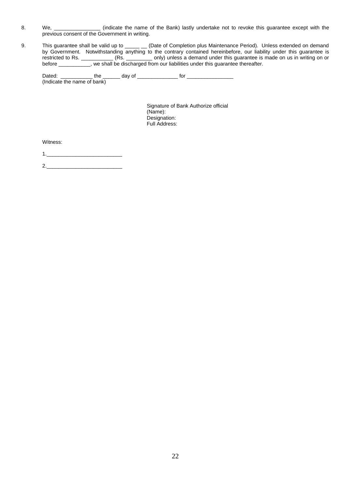- 8. We, \_\_\_\_\_\_\_\_\_\_\_\_\_\_\_\_\_ (indicate the name of the Bank) lastly undertake not to revoke this guarantee except with the previous consent of the Government in writing.
- 9. This guarantee shall be valid up to \_\_\_\_\_ \_\_ (Date of Completion plus Maintenance Period). Unless extended on demand by Government. Notwithstanding anything to the contrary contained hereinbefore, our liability under this guarantee is restricted to Rs. \_\_\_\_\_\_\_\_\_\_\_ (Rs. \_\_\_\_\_\_\_\_\_ only) unless a demand under this guarantee is made on us in writing on or before \_\_\_\_\_\_\_\_\_\_\_, we shall be discharged from our liabilities under this guarantee thereafter.

Dated: \_\_\_\_\_\_\_\_\_\_\_ the \_\_\_\_\_\_ day of \_\_\_\_\_\_\_\_\_\_\_\_\_\_ for \_\_\_\_\_\_\_\_\_\_\_\_\_\_\_\_ (Indicate the name of bank)

> Signature of Bank Authorize official (Name): Designation: Full Address:

Witness:

1.\_\_\_\_\_\_\_\_\_\_\_\_\_\_\_\_\_\_\_\_\_\_\_\_\_\_

2.